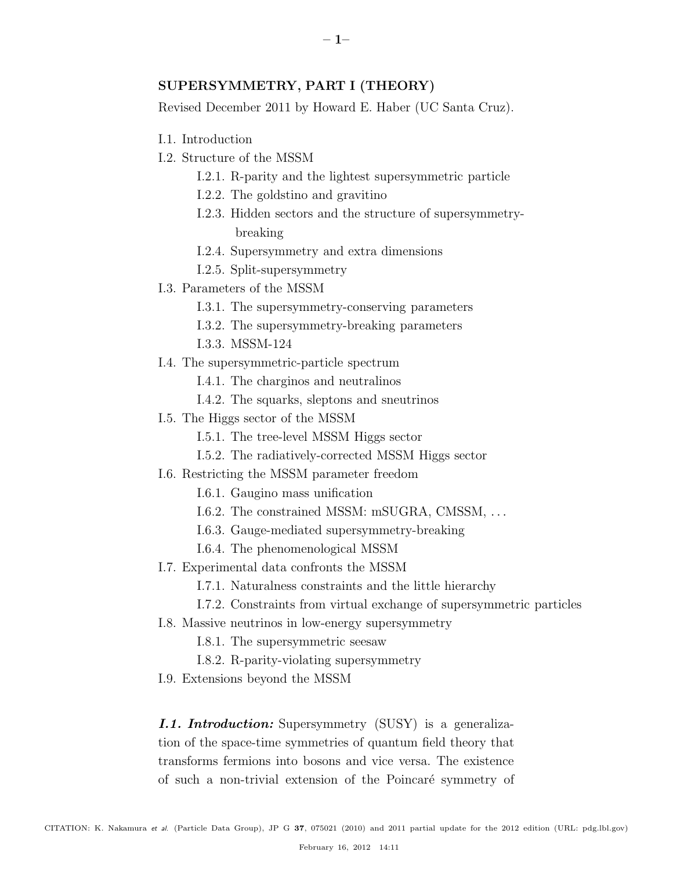# SUPERSYMMETRY, PART I (THEORY)

Revised December 2011 by Howard E. Haber (UC Santa Cruz).

- I.1. Introduction
- I.2. Structure of the MSSM
	- I.2.1. R-parity and the lightest supersymmetric particle
	- I.2.2. The goldstino and gravitino
	- I.2.3. Hidden sectors and the structure of supersymmetrybreaking
	- I.2.4. Supersymmetry and extra dimensions
	- I.2.5. Split-supersymmetry
- I.3. Parameters of the MSSM
	- I.3.1. The supersymmetry-conserving parameters
	- I.3.2. The supersymmetry-breaking parameters
	- I.3.3. MSSM-124
- I.4. The supersymmetric-particle spectrum
	- I.4.1. The charginos and neutralinos
	- I.4.2. The squarks, sleptons and sneutrinos
- I.5. The Higgs sector of the MSSM
	- I.5.1. The tree-level MSSM Higgs sector
	- I.5.2. The radiatively-corrected MSSM Higgs sector
- I.6. Restricting the MSSM parameter freedom
	- I.6.1. Gaugino mass unification
	- I.6.2. The constrained MSSM: mSUGRA, CMSSM, . . .
	- I.6.3. Gauge-mediated supersymmetry-breaking
	- I.6.4. The phenomenological MSSM
- I.7. Experimental data confronts the MSSM
	- I.7.1. Naturalness constraints and the little hierarchy
	- I.7.2. Constraints from virtual exchange of supersymmetric particles
- I.8. Massive neutrinos in low-energy supersymmetry
	- I.8.1. The supersymmetric seesaw
	- I.8.2. R-parity-violating supersymmetry
- I.9. Extensions beyond the MSSM

*I.1. Introduction:* Supersymmetry (SUSY) is a generalization of the space-time symmetries of quantum field theory that transforms fermions into bosons and vice versa. The existence of such a non-trivial extension of the Poincaré symmetry of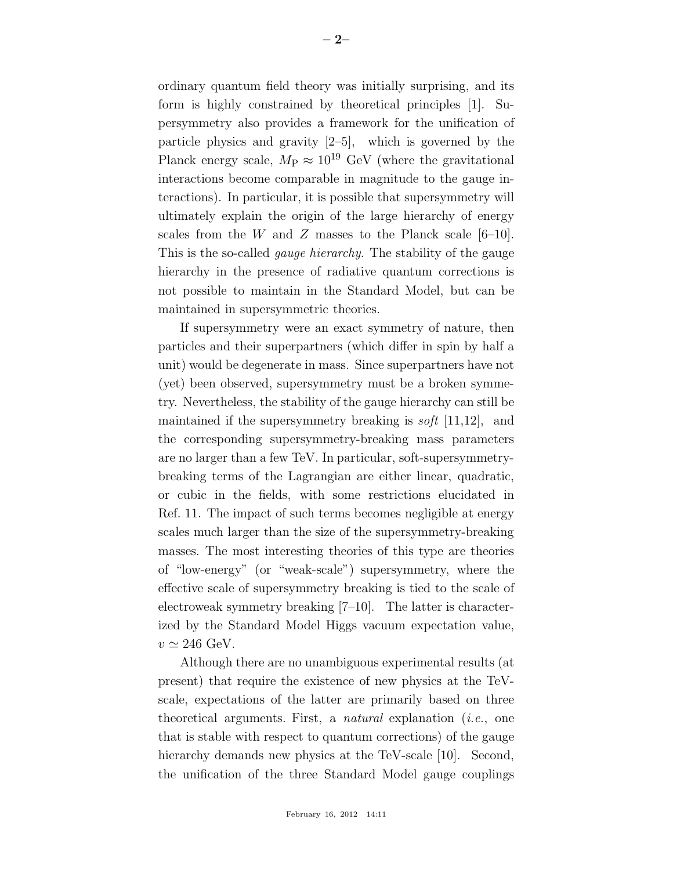ordinary quantum field theory was initially surprising, and its form is highly constrained by theoretical principles [1]. Supersymmetry also provides a framework for the unification of particle physics and gravity [2–5], which is governed by the Planck energy scale,  $M_P \approx 10^{19}$  GeV (where the gravitational interactions become comparable in magnitude to the gauge interactions). In particular, it is possible that supersymmetry will ultimately explain the origin of the large hierarchy of energy scales from the W and Z masses to the Planck scale  $[6-10]$ . This is the so-called *gauge hierarchy*. The stability of the gauge hierarchy in the presence of radiative quantum corrections is not possible to maintain in the Standard Model, but can be maintained in supersymmetric theories.

If supersymmetry were an exact symmetry of nature, then particles and their superpartners (which differ in spin by half a unit) would be degenerate in mass. Since superpartners have not (yet) been observed, supersymmetry must be a broken symmetry. Nevertheless, the stability of the gauge hierarchy can still be maintained if the supersymmetry breaking is *soft* [11,12], and the corresponding supersymmetry-breaking mass parameters are no larger than a few TeV. In particular, soft-supersymmetrybreaking terms of the Lagrangian are either linear, quadratic, or cubic in the fields, with some restrictions elucidated in Ref. 11. The impact of such terms becomes negligible at energy scales much larger than the size of the supersymmetry-breaking masses. The most interesting theories of this type are theories of "low-energy" (or "weak-scale") supersymmetry, where the effective scale of supersymmetry breaking is tied to the scale of electroweak symmetry breaking [7–10]. The latter is characterized by the Standard Model Higgs vacuum expectation value,  $v \simeq 246 \text{ GeV}.$ 

Although there are no unambiguous experimental results (at present) that require the existence of new physics at the TeVscale, expectations of the latter are primarily based on three theoretical arguments. First, a *natural* explanation (*i.e.*, one that is stable with respect to quantum corrections) of the gauge hierarchy demands new physics at the TeV-scale [10]. Second, the unification of the three Standard Model gauge couplings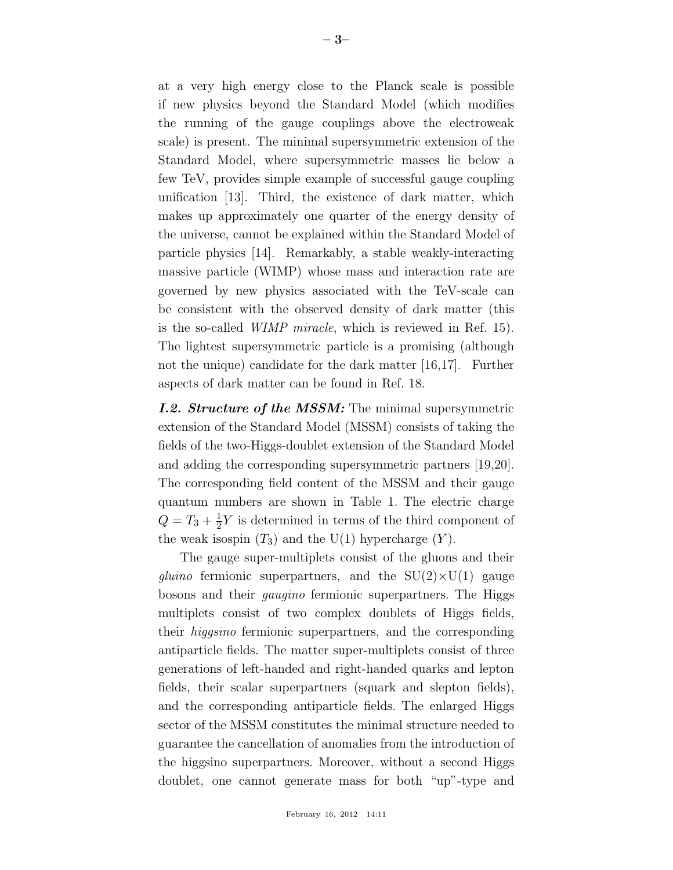at a very high energy close to the Planck scale is possible if new physics beyond the Standard Model (which modifies the running of the gauge couplings above the electroweak scale) is present. The minimal supersymmetric extension of the Standard Model, where supersymmetric masses lie below a few TeV, provides simple example of successful gauge coupling unification [13]. Third, the existence of dark matter, which makes up approximately one quarter of the energy density of the universe, cannot be explained within the Standard Model of particle physics [14]. Remarkably, a stable weakly-interacting massive particle (WIMP) whose mass and interaction rate are governed by new physics associated with the TeV-scale can be consistent with the observed density of dark matter (this is the so-called *WIMP miracle*, which is reviewed in Ref. 15). The lightest supersymmetric particle is a promising (although not the unique) candidate for the dark matter [16,17]. Further aspects of dark matter can be found in Ref. 18.

*I.2. Structure of the MSSM:* The minimal supersymmetric extension of the Standard Model (MSSM) consists of taking the fields of the two-Higgs-doublet extension of the Standard Model and adding the corresponding supersymmetric partners [19,20]. The corresponding field content of the MSSM and their gauge quantum numbers are shown in Table 1. The electric charge  $Q = T_3 + \frac{1}{2}$  $\frac{1}{2}Y$  is determined in terms of the third component of the weak isospin  $(T_3)$  and the U(1) hypercharge  $(Y)$ .

The gauge super-multiplets consist of the gluons and their *gluino* fermionic superpartners, and the  $SU(2) \times U(1)$  gauge bosons and their *gaugino* fermionic superpartners. The Higgs multiplets consist of two complex doublets of Higgs fields, their *higgsino* fermionic superpartners, and the corresponding antiparticle fields. The matter super-multiplets consist of three generations of left-handed and right-handed quarks and lepton fields, their scalar superpartners (squark and slepton fields), and the corresponding antiparticle fields. The enlarged Higgs sector of the MSSM constitutes the minimal structure needed to guarantee the cancellation of anomalies from the introduction of the higgsino superpartners. Moreover, without a second Higgs doublet, one cannot generate mass for both "up"-type and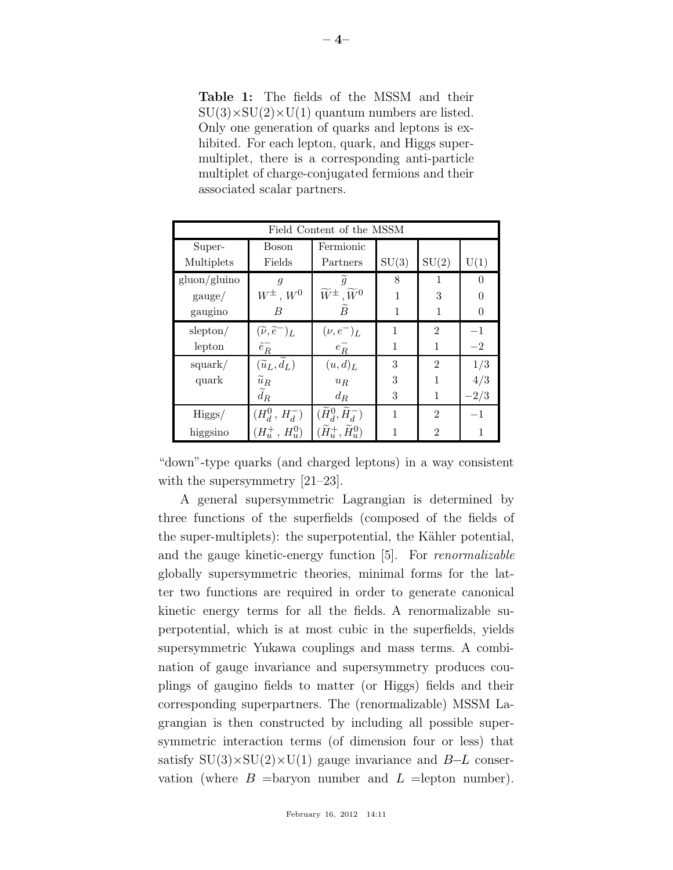Table 1: The fields of the MSSM and their  $SU(3)\times SU(2)\times U(1)$  quantum numbers are listed. Only one generation of quarks and leptons is exhibited. For each lepton, quark, and Higgs supermultiplet, there is a corresponding anti-particle multiplet of charge-conjugated fermions and their associated scalar partners.

| Field Content of the MSSM |                                         |                                             |       |                |        |
|---------------------------|-----------------------------------------|---------------------------------------------|-------|----------------|--------|
| Super-                    | Boson                                   | Fermionic                                   |       |                |        |
| Multiplets                | Fields                                  | Partners                                    | SU(3) | SU(2)          | U(1)   |
| gluon/gluino              | $\overline{q}$                          | $\widetilde{g}$                             | 8     |                | 0      |
| gauge/                    | $W^{\pm}$ , $W^0$                       | $\widetilde{W}^{\pm}$ , $\widetilde{W}^0$   |       | 3              |        |
| gaugino                   | B                                       | $\tilde{B}$                                 |       |                |        |
| slepton/                  | $(\widetilde{\nu},\widetilde{e}^-)_L$   | $(\nu, e^-)_L$                              | 1     | $\overline{2}$ | $-1$   |
| lepton                    | $\tilde{e}^-_R$                         | $e^-_R$                                     |       | 1              | $-2$   |
| square                    | $(\overline{\tilde{u}_L}, \tilde{d}_L)$ | (u,d) <sub>L</sub>                          | 3     | $\mathfrak{D}$ | 1/3    |
| quark                     | $\widetilde{u}_R$                       | $u_R$                                       | 3     |                | 4/3    |
|                           | $\widetilde{d}_R$                       | $d_R$                                       | 3     | 1              | $-2/3$ |
| Higgs/                    | $(H_d^0, H_d^-)$                        | $(\widetilde{H}_{d}^0,\widetilde{H}_{d}^-)$ | 1     | $\mathfrak{D}$ | $-1$   |
| higgsino                  | $(H_u^+, H_u^0)$                        | $(\widetilde{H}^+_u, \widetilde{H}^0_u)$    |       | $\mathcal{D}$  |        |

"down"-type quarks (and charged leptons) in a way consistent with the supersymmetry  $[21-23]$ .

A general supersymmetric Lagrangian is determined by three functions of the superfields (composed of the fields of the super-multiplets): the superpotential, the Kähler potential, and the gauge kinetic-energy function [5]. For *renormalizable* globally supersymmetric theories, minimal forms for the latter two functions are required in order to generate canonical kinetic energy terms for all the fields. A renormalizable superpotential, which is at most cubic in the superfields, yields supersymmetric Yukawa couplings and mass terms. A combination of gauge invariance and supersymmetry produces couplings of gaugino fields to matter (or Higgs) fields and their corresponding superpartners. The (renormalizable) MSSM Lagrangian is then constructed by including all possible supersymmetric interaction terms (of dimension four or less) that satisfy  $SU(3)\times SU(2)\times U(1)$  gauge invariance and B–L conservation (where  $B =$ baryon number and  $L =$ lepton number).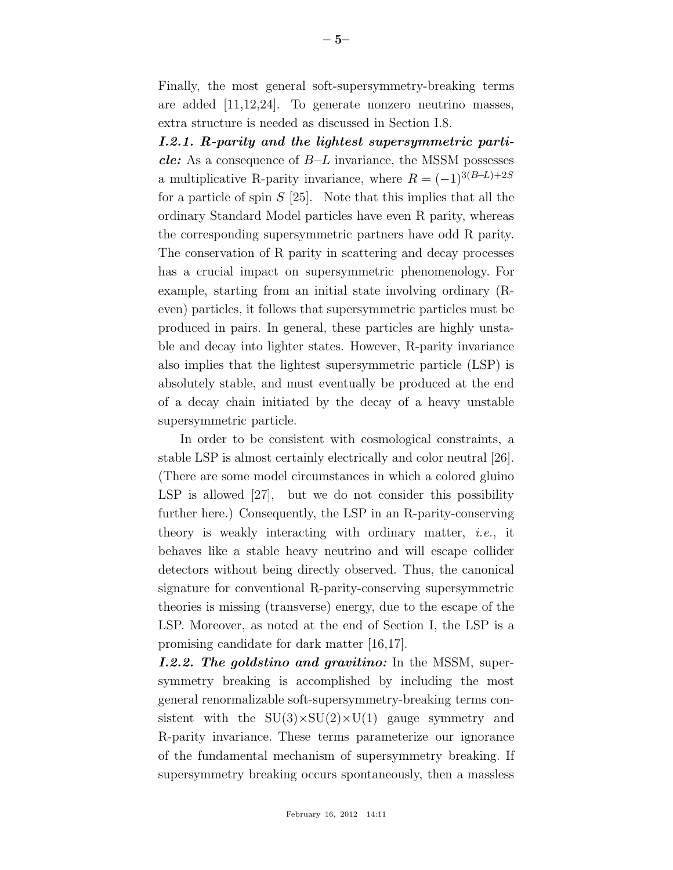Finally, the most general soft-supersymmetry-breaking terms are added [11,12,24]. To generate nonzero neutrino masses, extra structure is needed as discussed in Section I.8.

*I.2.1. R-parity and the lightest supersymmetric particle:* As a consequence of B−L invariance, the MSSM possesses a multiplicative R-parity invariance, where  $R = (-1)^{3(B-L)+2S}$ for a particle of spin  $S$  [25]. Note that this implies that all the ordinary Standard Model particles have even R parity, whereas the corresponding supersymmetric partners have odd R parity. The conservation of R parity in scattering and decay processes has a crucial impact on supersymmetric phenomenology. For example, starting from an initial state involving ordinary (Reven) particles, it follows that supersymmetric particles must be produced in pairs. In general, these particles are highly unstable and decay into lighter states. However, R-parity invariance also implies that the lightest supersymmetric particle (LSP) is absolutely stable, and must eventually be produced at the end of a decay chain initiated by the decay of a heavy unstable supersymmetric particle.

In order to be consistent with cosmological constraints, a stable LSP is almost certainly electrically and color neutral [26]. (There are some model circumstances in which a colored gluino LSP is allowed [27], but we do not consider this possibility further here.) Consequently, the LSP in an R-parity-conserving theory is weakly interacting with ordinary matter, *i.e.*, it behaves like a stable heavy neutrino and will escape collider detectors without being directly observed. Thus, the canonical signature for conventional R-parity-conserving supersymmetric theories is missing (transverse) energy, due to the escape of the LSP. Moreover, as noted at the end of Section I, the LSP is a promising candidate for dark matter [16,17].

*I.2.2. The goldstino and gravitino:* In the MSSM, supersymmetry breaking is accomplished by including the most general renormalizable soft-supersymmetry-breaking terms consistent with the  $SU(3)\times SU(2)\times U(1)$  gauge symmetry and R-parity invariance. These terms parameterize our ignorance of the fundamental mechanism of supersymmetry breaking. If supersymmetry breaking occurs spontaneously, then a massless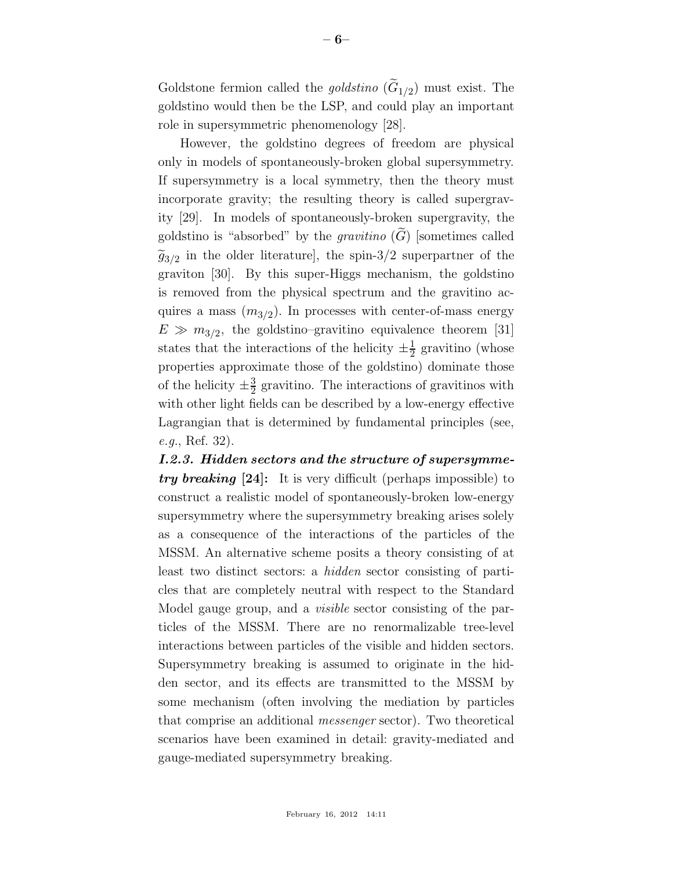Goldstone fermion called the *goldstino*  $(G_{1/2})$  must exist. The goldstino would then be the LSP, and could play an important role in supersymmetric phenomenology [28].

However, the goldstino degrees of freedom are physical only in models of spontaneously-broken global supersymmetry. If supersymmetry is a local symmetry, then the theory must incorporate gravity; the resulting theory is called supergravity [29]. In models of spontaneously-broken supergravity, the goldstino is "absorbed" by the *gravitino*  $(G)$  [sometimes called  $\widetilde{g}_{3/2}$  in the older literature], the spin-3/2 superpartner of the graviton [30]. By this super-Higgs mechanism, the goldstino is removed from the physical spectrum and the gravitino acquires a mass  $(m_{3/2})$ . In processes with center-of-mass energy  $E \gg m_{3/2}$ , the goldstino–gravitino equivalence theorem [31] states that the interactions of the helicity  $\pm \frac{1}{2}$  $\frac{1}{2}$  gravitino (whose properties approximate those of the goldstino) dominate those of the helicity  $\pm \frac{3}{2}$  $\frac{3}{2}$  gravitino. The interactions of gravitinos with with other light fields can be described by a low-energy effective Lagrangian that is determined by fundamental principles (see, *e.g.*, Ref. 32).

*I.2.3. Hidden sectors and the structure of supersymmetry breaking* [24]: It is very difficult (perhaps impossible) to construct a realistic model of spontaneously-broken low-energy supersymmetry where the supersymmetry breaking arises solely as a consequence of the interactions of the particles of the MSSM. An alternative scheme posits a theory consisting of at least two distinct sectors: a *hidden* sector consisting of particles that are completely neutral with respect to the Standard Model gauge group, and a *visible* sector consisting of the particles of the MSSM. There are no renormalizable tree-level interactions between particles of the visible and hidden sectors. Supersymmetry breaking is assumed to originate in the hidden sector, and its effects are transmitted to the MSSM by some mechanism (often involving the mediation by particles that comprise an additional *messenger* sector). Two theoretical scenarios have been examined in detail: gravity-mediated and gauge-mediated supersymmetry breaking.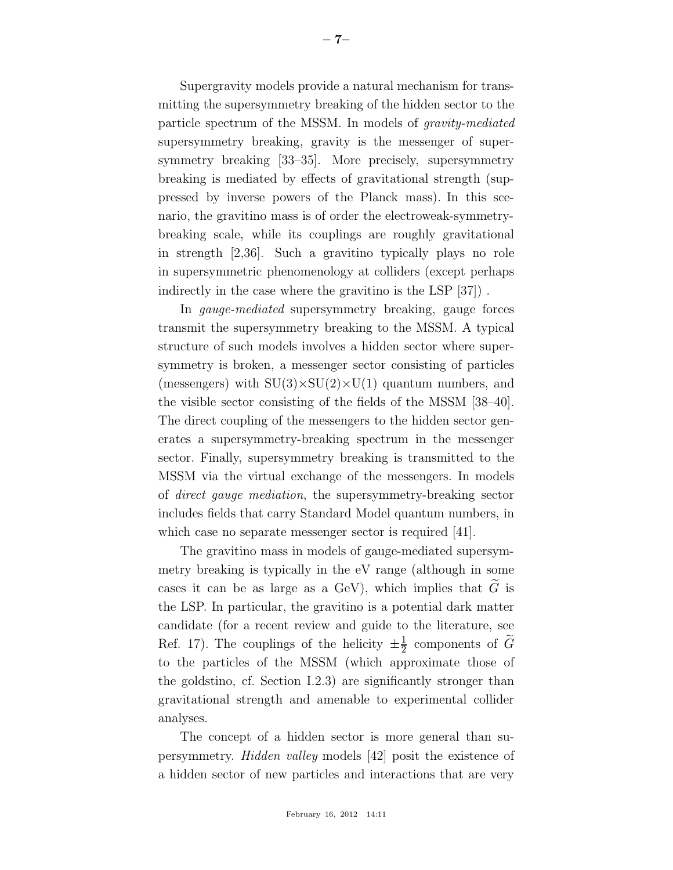Supergravity models provide a natural mechanism for transmitting the supersymmetry breaking of the hidden sector to the particle spectrum of the MSSM. In models of *gravity-mediated* supersymmetry breaking, gravity is the messenger of supersymmetry breaking [33–35]. More precisely, supersymmetry breaking is mediated by effects of gravitational strength (suppressed by inverse powers of the Planck mass). In this scenario, the gravitino mass is of order the electroweak-symmetrybreaking scale, while its couplings are roughly gravitational in strength [2,36]. Such a gravitino typically plays no role in supersymmetric phenomenology at colliders (except perhaps indirectly in the case where the gravitino is the LSP [37]) .

In *gauge-mediated* supersymmetry breaking, gauge forces transmit the supersymmetry breaking to the MSSM. A typical structure of such models involves a hidden sector where supersymmetry is broken, a messenger sector consisting of particles (messengers) with  $SU(3)\times SU(2)\times U(1)$  quantum numbers, and the visible sector consisting of the fields of the MSSM [38–40]. The direct coupling of the messengers to the hidden sector generates a supersymmetry-breaking spectrum in the messenger sector. Finally, supersymmetry breaking is transmitted to the MSSM via the virtual exchange of the messengers. In models of *direct gauge mediation*, the supersymmetry-breaking sector includes fields that carry Standard Model quantum numbers, in which case no separate messenger sector is required [41].

The gravitino mass in models of gauge-mediated supersymmetry breaking is typically in the eV range (although in some cases it can be as large as a GeV), which implies that  $\widetilde{G}$  is the LSP. In particular, the gravitino is a potential dark matter candidate (for a recent review and guide to the literature, see Ref. 17). The couplings of the helicity  $\pm \frac{1}{2}$  $\frac{1}{2}$  components of G to the particles of the MSSM (which approximate those of the goldstino, cf. Section I.2.3) are significantly stronger than gravitational strength and amenable to experimental collider analyses.

The concept of a hidden sector is more general than supersymmetry. *Hidden valley* models [42] posit the existence of a hidden sector of new particles and interactions that are very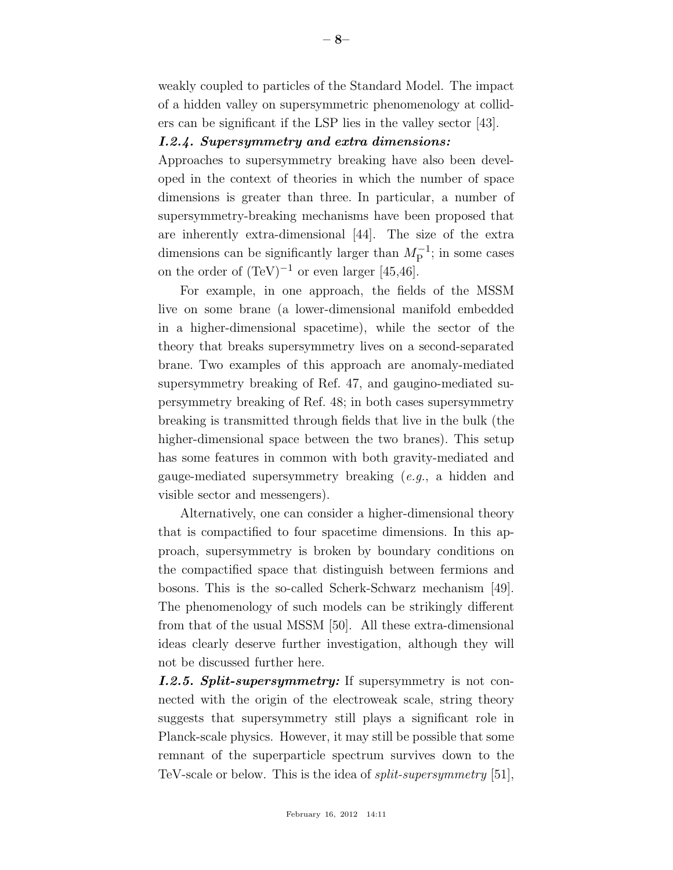weakly coupled to particles of the Standard Model. The impact of a hidden valley on supersymmetric phenomenology at colliders can be significant if the LSP lies in the valley sector [43].

# *I.2.4. Supersymmetry and extra dimensions:*

Approaches to supersymmetry breaking have also been developed in the context of theories in which the number of space dimensions is greater than three. In particular, a number of supersymmetry-breaking mechanisms have been proposed that are inherently extra-dimensional [44]. The size of the extra dimensions can be significantly larger than  $M_{\rm P}^{-1}$ ; in some cases on the order of  $(TeV)^{-1}$  or even larger [45,46].

For example, in one approach, the fields of the MSSM live on some brane (a lower-dimensional manifold embedded in a higher-dimensional spacetime), while the sector of the theory that breaks supersymmetry lives on a second-separated brane. Two examples of this approach are anomaly-mediated supersymmetry breaking of Ref. 47, and gaugino-mediated supersymmetry breaking of Ref. 48; in both cases supersymmetry breaking is transmitted through fields that live in the bulk (the higher-dimensional space between the two branes). This setup has some features in common with both gravity-mediated and gauge-mediated supersymmetry breaking (*e.g.*, a hidden and visible sector and messengers).

Alternatively, one can consider a higher-dimensional theory that is compactified to four spacetime dimensions. In this approach, supersymmetry is broken by boundary conditions on the compactified space that distinguish between fermions and bosons. This is the so-called Scherk-Schwarz mechanism [49]. The phenomenology of such models can be strikingly different from that of the usual MSSM [50]. All these extra-dimensional ideas clearly deserve further investigation, although they will not be discussed further here.

*I.2.5. Split-supersymmetry:* If supersymmetry is not connected with the origin of the electroweak scale, string theory suggests that supersymmetry still plays a significant role in Planck-scale physics. However, it may still be possible that some remnant of the superparticle spectrum survives down to the TeV-scale or below. This is the idea of *split-supersymmetry* [51],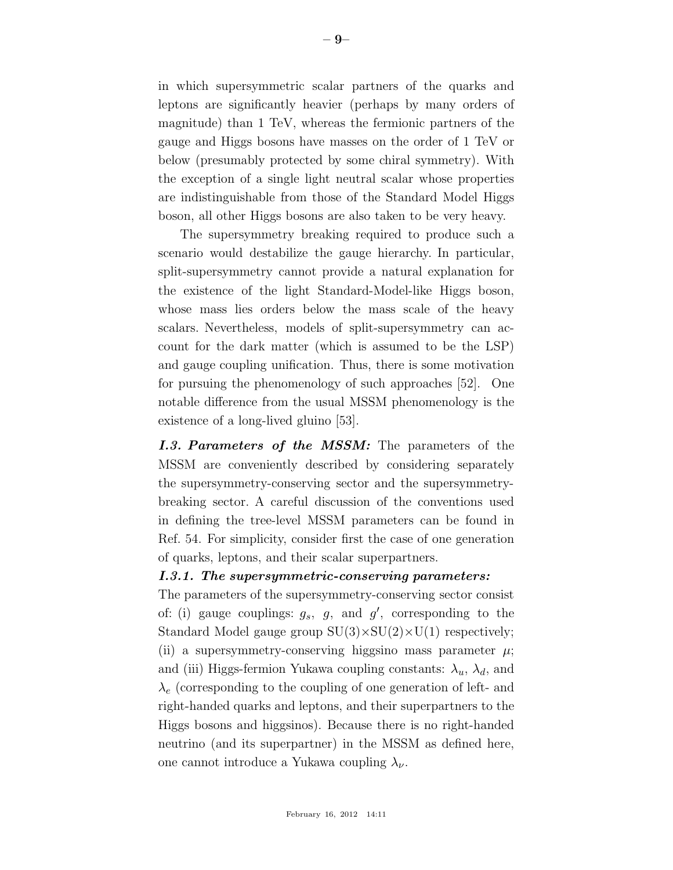in which supersymmetric scalar partners of the quarks and leptons are significantly heavier (perhaps by many orders of magnitude) than 1 TeV, whereas the fermionic partners of the gauge and Higgs bosons have masses on the order of 1 TeV or below (presumably protected by some chiral symmetry). With the exception of a single light neutral scalar whose properties are indistinguishable from those of the Standard Model Higgs boson, all other Higgs bosons are also taken to be very heavy.

The supersymmetry breaking required to produce such a scenario would destabilize the gauge hierarchy. In particular, split-supersymmetry cannot provide a natural explanation for the existence of the light Standard-Model-like Higgs boson, whose mass lies orders below the mass scale of the heavy scalars. Nevertheless, models of split-supersymmetry can account for the dark matter (which is assumed to be the LSP) and gauge coupling unification. Thus, there is some motivation for pursuing the phenomenology of such approaches [52]. One notable difference from the usual MSSM phenomenology is the existence of a long-lived gluino [53].

*I.3. Parameters of the MSSM:* The parameters of the MSSM are conveniently described by considering separately the supersymmetry-conserving sector and the supersymmetrybreaking sector. A careful discussion of the conventions used in defining the tree-level MSSM parameters can be found in Ref. 54. For simplicity, consider first the case of one generation of quarks, leptons, and their scalar superpartners.

### *I.3.1. The supersymmetric-conserving parameters:*

The parameters of the supersymmetry-conserving sector consist of: (i) gauge couplings:  $g_s$ ,  $g$ , and  $g'$ , corresponding to the Standard Model gauge group  $SU(3) \times SU(2) \times U(1)$  respectively; (ii) a supersymmetry-conserving higgsino mass parameter  $\mu$ ; and (iii) Higgs-fermion Yukawa coupling constants:  $\lambda_u$ ,  $\lambda_d$ , and  $\lambda_e$  (corresponding to the coupling of one generation of left- and right-handed quarks and leptons, and their superpartners to the Higgs bosons and higgsinos). Because there is no right-handed neutrino (and its superpartner) in the MSSM as defined here, one cannot introduce a Yukawa coupling  $\lambda_{\nu}$ .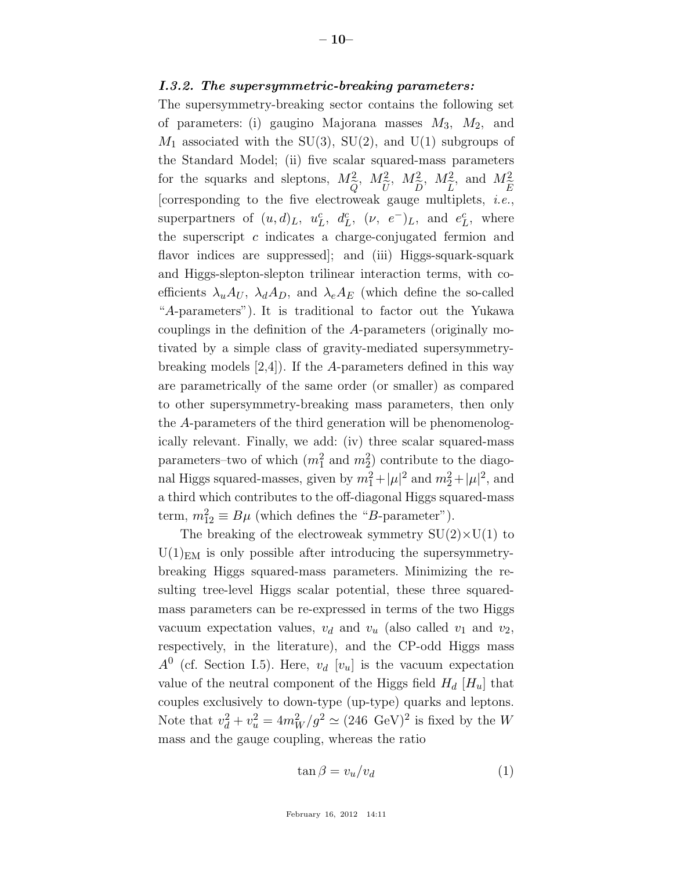#### *I.3.2. The supersymmetric-breaking parameters:*

The supersymmetry-breaking sector contains the following set of parameters: (i) gaugino Majorana masses  $M_3$ ,  $M_2$ , and  $M_1$  associated with the SU(3), SU(2), and U(1) subgroups of the Standard Model; (ii) five scalar squared-mass parameters for the squarks and sleptons,  $M_{\odot}^2$  $Q_{\text{vrt}}$ ,  $M_{\tilde{t}}^2$  $\frac{U}{\epsilon}$ ,  $M_{\tilde{\tau}}^2$  $\frac{D}{2}$ ,  $M_{\tilde{\tau}}^2$ L<br>+; , and  $M_{\widetilde{\tau}}^2$ E<br>, [corresponding to the five electroweak gauge multiplets, *i.e.*, superpartners of  $(u,d)_L$ ,  $u_l^c$  $\,_L^c$ ,  $d_L^c$  $L^c, \; (\nu, \; e^-)_{L}, \; \text{and} \; e^c_{L}$  $L^c$ , where the superscript  $c$  indicates a charge-conjugated fermion and flavor indices are suppressed; and (iii) Higgs-squark-squark and Higgs-slepton-slepton trilinear interaction terms, with coefficients  $\lambda_u A_U$ ,  $\lambda_d A_D$ , and  $\lambda_e A_E$  (which define the so-called "A-parameters"). It is traditional to factor out the Yukawa couplings in the definition of the A-parameters (originally motivated by a simple class of gravity-mediated supersymmetrybreaking models [2,4]). If the A-parameters defined in this way are parametrically of the same order (or smaller) as compared to other supersymmetry-breaking mass parameters, then only the A-parameters of the third generation will be phenomenologically relevant. Finally, we add: (iv) three scalar squared-mass parameters–two of which  $(m_1^2 \text{ and } m_2^2)$  contribute to the diagonal Higgs squared-masses, given by  $m_1^2 + |\mu|^2$  and  $m_2^2 + |\mu|^2$ , and a third which contributes to the off-diagonal Higgs squared-mass term,  $m_{12}^2 \equiv B\mu$  (which defines the "B-parameter").

The breaking of the electroweak symmetry  $SU(2) \times U(1)$  to  $U(1)_{EM}$  is only possible after introducing the supersymmetrybreaking Higgs squared-mass parameters. Minimizing the resulting tree-level Higgs scalar potential, these three squaredmass parameters can be re-expressed in terms of the two Higgs vacuum expectation values,  $v_d$  and  $v_u$  (also called  $v_1$  and  $v_2$ , respectively, in the literature), and the CP-odd Higgs mass  $A^0$  (cf. Section I.5). Here,  $v_d$  [ $v_u$ ] is the vacuum expectation value of the neutral component of the Higgs field  $H_d$  [ $H_u$ ] that couples exclusively to down-type (up-type) quarks and leptons. Note that  $v_d^2 + v_u^2 = 4m_W^2/g^2 \simeq (246 \text{ GeV})^2$  is fixed by the W mass and the gauge coupling, whereas the ratio

$$
\tan \beta = v_u/v_d \tag{1}
$$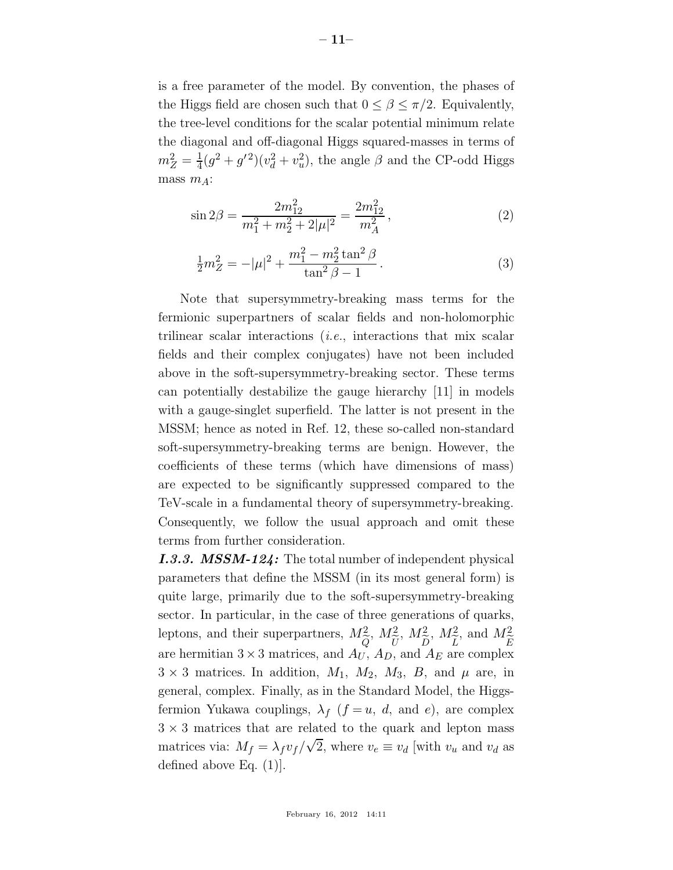is a free parameter of the model. By convention, the phases of the Higgs field are chosen such that  $0 \leq \beta \leq \pi/2$ . Equivalently, the tree-level conditions for the scalar potential minimum relate the diagonal and off-diagonal Higgs squared-masses in terms of  $m_Z^2 = \frac{1}{4}$  $\frac{1}{4}(g^2+g^{\prime 2})(v_d^2+v_u^2)$ , the angle  $\beta$  and the CP-odd Higgs mass  $m_A$ :

$$
\sin 2\beta = \frac{2m_{12}^2}{m_1^2 + m_2^2 + 2|\mu|^2} = \frac{2m_{12}^2}{m_A^2},\tag{2}
$$

$$
\frac{1}{2}m_Z^2 = -|\mu|^2 + \frac{m_1^2 - m_2^2 \tan^2 \beta}{\tan^2 \beta - 1}.
$$
 (3)

Note that supersymmetry-breaking mass terms for the fermionic superpartners of scalar fields and non-holomorphic trilinear scalar interactions (*i.e.*, interactions that mix scalar fields and their complex conjugates) have not been included above in the soft-supersymmetry-breaking sector. These terms can potentially destabilize the gauge hierarchy [11] in models with a gauge-singlet superfield. The latter is not present in the MSSM; hence as noted in Ref. 12, these so-called non-standard soft-supersymmetry-breaking terms are benign. However, the coefficients of these terms (which have dimensions of mass) are expected to be significantly suppressed compared to the TeV-scale in a fundamental theory of supersymmetry-breaking. Consequently, we follow the usual approach and omit these terms from further consideration.

*I.3.3. MSSM-124:* The total number of independent physical parameters that define the MSSM (in its most general form) is quite large, primarily due to the soft-supersymmetry-breaking sector. In particular, in the case of three generations of quarks, leptons, and their superpartners,  $M_{\tilde{c}}^2$  $Q$ ,  $M_{\tilde{r}}^2$  $\overline{U}$ ,  $M_{\tilde{r}}^2$  $\frac{D}{4}$ ,  $M_{\widetilde{\tau}}^2$  $\frac{L}{r}$ , and  $M_{\widetilde{t}}^2$  $E_{\rm v}$ are hermitian  $3 \times 3$  matrices, and  $A_U$ ,  $A_D$ , and  $A_E$  are complex  $3 \times 3$  matrices. In addition,  $M_1$ ,  $M_2$ ,  $M_3$ ,  $B$ , and  $\mu$  are, in general, complex. Finally, as in the Standard Model, the Higgsfermion Yukawa couplings,  $\lambda_f$   $(f = u, d, \text{ and } e)$ , are complex  $3 \times 3$  matrices that are related to the quark and lepton mass matrices via:  $M_f = \lambda_f v_f / \sqrt{2}$ , where  $v_e \equiv v_d$  [with  $v_u$  and  $v_d$  as defined above Eq. (1)].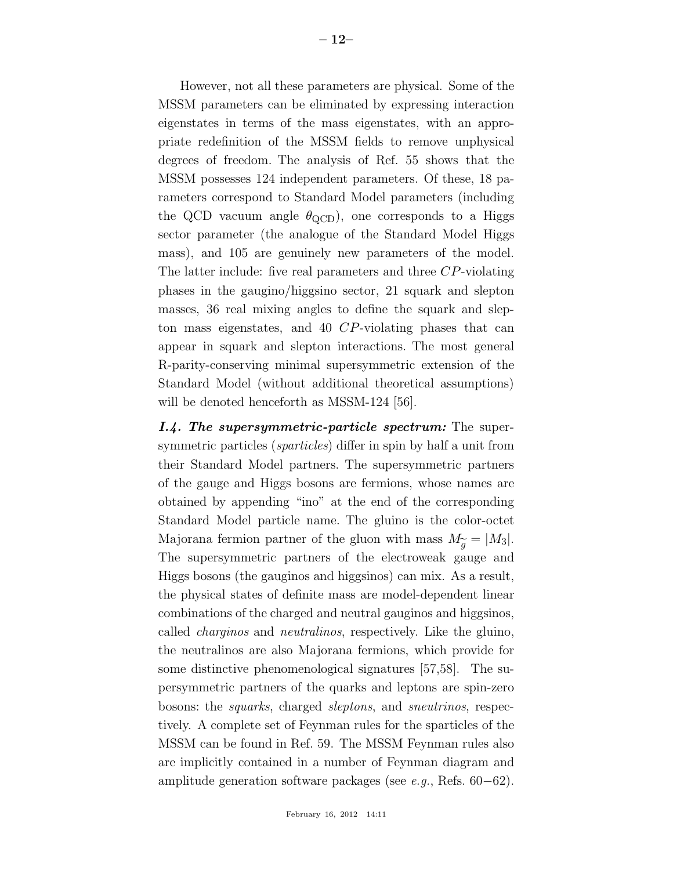However, not all these parameters are physical. Some of the MSSM parameters can be eliminated by expressing interaction eigenstates in terms of the mass eigenstates, with an appropriate redefinition of the MSSM fields to remove unphysical degrees of freedom. The analysis of Ref. 55 shows that the MSSM possesses 124 independent parameters. Of these, 18 parameters correspond to Standard Model parameters (including the QCD vacuum angle  $\theta_{\rm QCD}$ , one corresponds to a Higgs sector parameter (the analogue of the Standard Model Higgs mass), and 105 are genuinely new parameters of the model. The latter include: five real parameters and three CP-violating phases in the gaugino/higgsino sector, 21 squark and slepton masses, 36 real mixing angles to define the squark and slepton mass eigenstates, and 40 CP-violating phases that can appear in squark and slepton interactions. The most general R-parity-conserving minimal supersymmetric extension of the Standard Model (without additional theoretical assumptions) will be denoted henceforth as MSSM-124 [56].

*I.4. The supersymmetric-particle spectrum:* The supersymmetric particles (*sparticles*) differ in spin by half a unit from their Standard Model partners. The supersymmetric partners of the gauge and Higgs bosons are fermions, whose names are obtained by appending "ino" at the end of the corresponding Standard Model particle name. The gluino is the color-octet Majorana fermion partner of the gluon with mass  $M_{\widetilde{g}} = |M_3|$ .<br>The supersymmetric partners of the electroweak gauge and The supersymmetric partners of the electroweak gauge and Higgs bosons (the gauginos and higgsinos) can mix. As a result, the physical states of definite mass are model-dependent linear combinations of the charged and neutral gauginos and higgsinos, called *charginos* and *neutralinos*, respectively. Like the gluino, the neutralinos are also Majorana fermions, which provide for some distinctive phenomenological signatures [57,58]. The supersymmetric partners of the quarks and leptons are spin-zero bosons: the *squarks*, charged *sleptons*, and *sneutrinos*, respectively. A complete set of Feynman rules for the sparticles of the MSSM can be found in Ref. 59. The MSSM Feynman rules also are implicitly contained in a number of Feynman diagram and amplitude generation software packages (see *e.g.*, Refs. 60−62).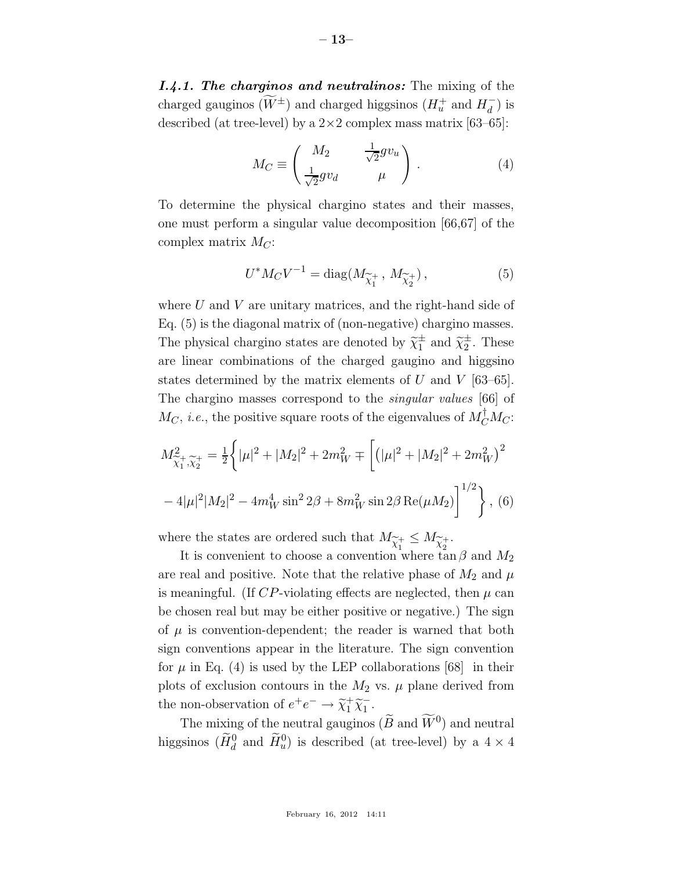*I.4.1. The charginos and neutralinos:* The mixing of the charged gauginos  $(\widetilde{W}^{\pm})$  and charged higgsinos  $(H_u^+$  and  $H_d^-)$  is described (at tree-level) by a  $2\times 2$  complex mass matrix [63–65]:

$$
M_C \equiv \begin{pmatrix} M_2 & \frac{1}{\sqrt{2}} g v_u \\ \frac{1}{\sqrt{2}} g v_d & \mu \end{pmatrix} . \tag{4}
$$

To determine the physical chargino states and their masses, one must perform a singular value decomposition [66,67] of the complex matrix  $M_C$ :

$$
U^* M_C V^{-1} = \text{diag}(M_{\widetilde{\chi}_1^+}, M_{\widetilde{\chi}_2^+}), \tag{5}
$$

where  $U$  and  $V$  are unitary matrices, and the right-hand side of Eq. (5) is the diagonal matrix of (non-negative) chargino masses. The physical chargino states are denoted by  $\widetilde{\chi}_1^{\pm}$  and  $\widetilde{\chi}_2^{\pm}$ . These are linear combinations of the charged gaugino and higgsino states determined by the matrix elements of U and V  $[63-65]$ . The chargino masses correspond to the *singular values* [66] of  $M_C$ , *i.e.*, the positive square roots of the eigenvalues of  $M_C^{\dagger} M_C$ :

$$
M_{\tilde{\chi}_1^+,\tilde{\chi}_2^+}^2 = \frac{1}{2} \left\{ |\mu|^2 + |M_2|^2 + 2m_W^2 \mp \left[ (|\mu|^2 + |M_2|^2 + 2m_W^2)^2 \right] \right\}
$$
  
- 4|\mu|^2|M\_2|^2 - 4m\_W^4 \sin^2 2\beta + 8m\_W^2 \sin 2\beta \text{Re}(\mu M\_2) \right]^{1/2} \Big\}, (6)

where the states are ordered such that  $M_{\widetilde{\chi}_1^+} \leq M_{\widetilde{\chi}_2^+}$ .<br>It is convenient to choose a convention where the

It is convenient to choose a convention where  $\tan \beta$  and  $M_2$ are real and positive. Note that the relative phase of  $M_2$  and  $\mu$ is meaningful. (If  $CP$ -violating effects are neglected, then  $\mu$  can be chosen real but may be either positive or negative.) The sign of  $\mu$  is convention-dependent; the reader is warned that both sign conventions appear in the literature. The sign convention for  $\mu$  in Eq. (4) is used by the LEP collaborations [68] in their plots of exclusion contours in the  $M_2$  vs.  $\mu$  plane derived from the non-observation of  $e^+e^- \rightarrow \tilde{\chi}_1^+ \tilde{\chi}_1^-$ .

The mixing of the neutral gauginos  $(\widetilde{B} \text{ and } \widetilde{W}^0)$  and neutral higgsinos  $(\tilde{H}_d^0$  and  $\tilde{H}_u^0$ ) is described (at tree-level) by a  $4 \times 4$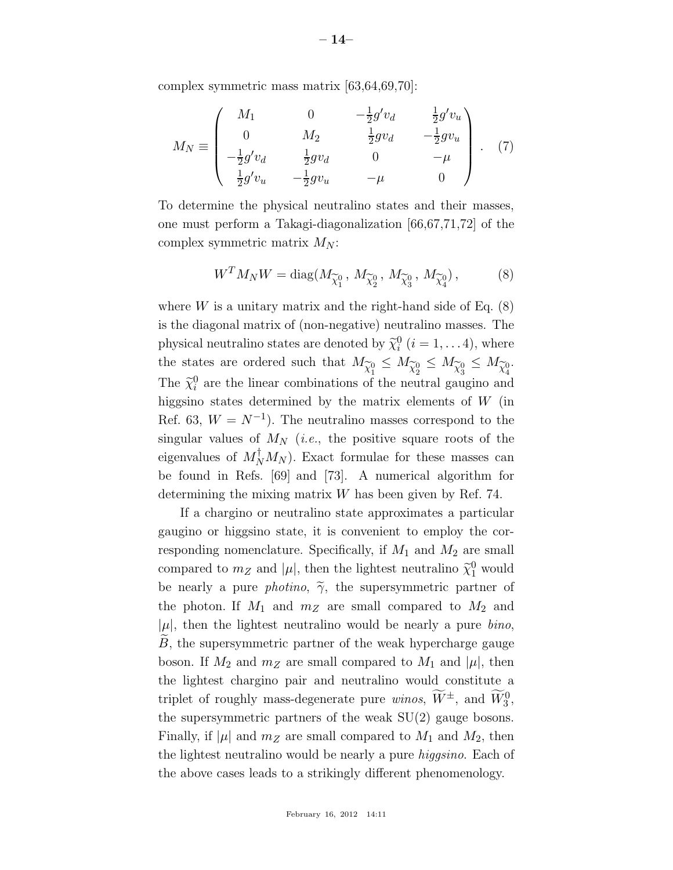complex symmetric mass matrix [63,64,69,70]:

$$
M_N \equiv \begin{pmatrix} M_1 & 0 & -\frac{1}{2}g'v_d & \frac{1}{2}g'v_u \\ 0 & M_2 & \frac{1}{2}gv_d & -\frac{1}{2}gv_u \\ -\frac{1}{2}g'v_d & \frac{1}{2}gv_d & 0 & -\mu \\ \frac{1}{2}g'v_u & -\frac{1}{2}gv_u & -\mu & 0 \end{pmatrix} . \quad (7)
$$

To determine the physical neutralino states and their masses, one must perform a Takagi-diagonalization [66,67,71,72] of the complex symmetric matrix  $M_N$ :

$$
W^{T} M_{N} W = \text{diag}(M_{\widetilde{\chi}_{1}^{0}}, M_{\widetilde{\chi}_{2}^{0}}, M_{\widetilde{\chi}_{3}^{0}}, M_{\widetilde{\chi}_{4}^{0}}), \qquad (8)
$$

where  $W$  is a unitary matrix and the right-hand side of Eq.  $(8)$ is the diagonal matrix of (non-negative) neutralino masses. The physical neutralino states are denoted by  $\tilde{\chi}_i^0$   $(i = 1, \ldots 4)$ , where the states are ordered such that  $M_{\widetilde{\chi}_{1}^{0}} \leq M_{\widetilde{\chi}_{2}^{0}} \leq M_{\widetilde{\chi}_{3}^{0}} \leq M_{\widetilde{\chi}_{4}^{0}}$ . The  $\tilde{\chi}^0_i$  are the linear combinations of the neutral gaugino and higgsino states determined by the matrix elements of  $W$  (in Ref. 63,  $W = N^{-1}$ ). The neutralino masses correspond to the singular values of  $M_N$  (*i.e.*, the positive square roots of the eigenvalues of  $M_N^{\dagger} M_N$ ). Exact formulae for these masses can be found in Refs. [69] and [73]. A numerical algorithm for determining the mixing matrix  $W$  has been given by Ref. 74.

If a chargino or neutralino state approximates a particular gaugino or higgsino state, it is convenient to employ the corresponding nomenclature. Specifically, if  $M_1$  and  $M_2$  are small compared to  $m_Z$  and  $|\mu|$ , then the lightest neutralino  $\tilde{\chi}_1^0$  would be nearly a pure *photino*,  $\tilde{\gamma}$ , the supersymmetric partner of the photon. If  $M_1$  and  $m_Z$  are small compared to  $M_2$  and  $|\mu|$ , then the lightest neutralino would be nearly a pure *bino*,  $B$ , the supersymmetric partner of the weak hypercharge gauge boson. If  $M_2$  and  $m_Z$  are small compared to  $M_1$  and  $|\mu|$ , then the lightest chargino pair and neutralino would constitute a triplet of roughly mass-degenerate pure *winos*,  $\widetilde{W}^{\pm}$ , and  $\widetilde{W}_{3}^{0}$ , the supersymmetric partners of the weak SU(2) gauge bosons. Finally, if  $|\mu|$  and  $m_Z$  are small compared to  $M_1$  and  $M_2$ , then the lightest neutralino would be nearly a pure *higgsino*. Each of the above cases leads to a strikingly different phenomenology.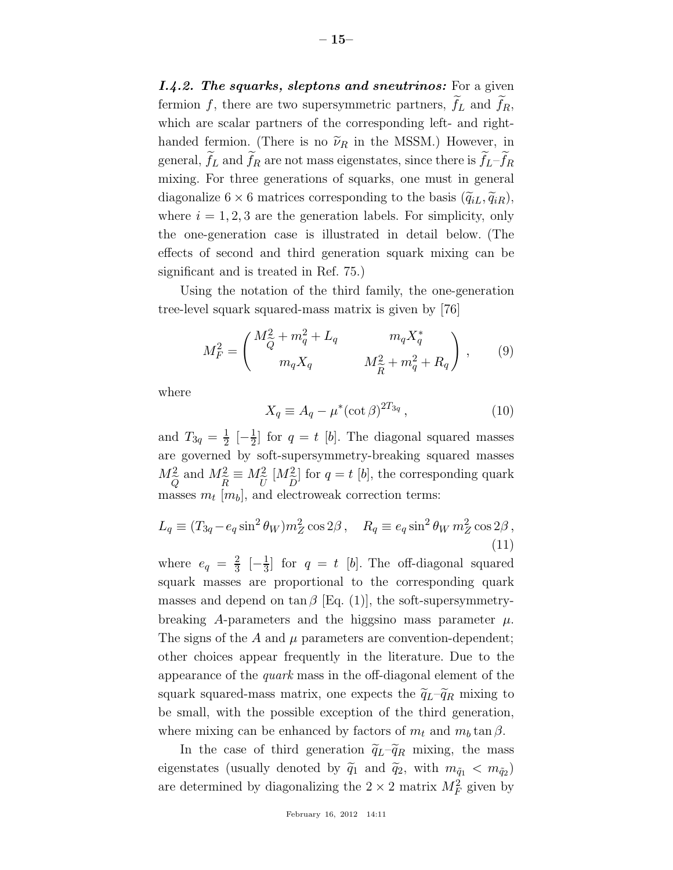*I.4.2. The squarks, sleptons and sneutrinos:* For a given fermion  $f$ , there are two supersymmetric partners,  $f_L$  and  $f_R$ , which are scalar partners of the corresponding left- and righthanded fermion. (There is no  $\tilde{\nu}_R$  in the MSSM.) However, in general,  $f_L$  and  $f_R$  are not mass eigenstates, since there is  $f_L - f_R$ mixing. For three generations of squarks, one must in general diagonalize  $6 \times 6$  matrices corresponding to the basis  $(\widetilde{q}_{iL}, \widetilde{q}_{iR}),$ where  $i = 1, 2, 3$  are the generation labels. For simplicity, only the one-generation case is illustrated in detail below. (The effects of second and third generation squark mixing can be significant and is treated in Ref. 75.)

Using the notation of the third family, the one-generation tree-level squark squared-mass matrix is given by [76]

$$
M_F^2 = \begin{pmatrix} M_{\tilde{Q}}^2 + m_q^2 + L_q & m_q X_q^* \\ m_q X_q & M_{\tilde{R}}^2 + m_q^2 + R_q \end{pmatrix}, \qquad (9)
$$

where

$$
X_q \equiv A_q - \mu^* (\cot \beta)^{2T_{3q}}, \qquad (10)
$$

and  $T_{3q} = \frac{1}{2}$  $\frac{1}{2}$   $\left[-\frac{1}{2}\right]$  $\frac{1}{2}$  for  $q = t$  [b]. The diagonal squared masses are governed by soft-supersymmetry-breaking squared masses  $M^2_{\tilde{c}}$  $Q$ and  $M_{\widetilde{R}}^2$  $R$  $\equiv M_{\widetilde{U}}^2$  $U_{\text{D}}$  $[M_{\tilde{\tau}}^2]$  $\frac{D}{2}$  $\left| \right|$  for  $q = t$   $\left| b \right|$ , the corresponding quark masses  $m_t$  [ $m_b$ ], and electroweak correction terms:

$$
L_q \equiv (T_{3q} - e_q \sin^2 \theta_W) m_Z^2 \cos 2\beta \,, \quad R_q \equiv e_q \sin^2 \theta_W m_Z^2 \cos 2\beta \,, \tag{11}
$$

where  $e_q = \frac{2}{3}$  $rac{2}{3}$   $\left[-\frac{1}{3}\right]$  $\frac{1}{3}$  for  $q = t$  [b]. The off-diagonal squared squark masses are proportional to the corresponding quark masses and depend on  $\tan \beta$  [Eq. (1)], the soft-supersymmetrybreaking A-parameters and the higgsino mass parameter  $\mu$ . The signs of the A and  $\mu$  parameters are convention-dependent; other choices appear frequently in the literature. Due to the appearance of the *quark* mass in the off-diagonal element of the squark squared-mass matrix, one expects the  $\tilde{q}_L-\tilde{q}_R$  mixing to be small, with the possible exception of the third generation, where mixing can be enhanced by factors of  $m_t$  and  $m_b \tan \beta$ .

In the case of third generation  $\tilde{q}_L-\tilde{q}_R$  mixing, the mass eigenstates (usually denoted by  $\tilde{q}_1$  and  $\tilde{q}_2$ , with  $m_{\tilde{q}_1} < m_{\tilde{q}_2}$ ) are determined by diagonalizing the  $2 \times 2$  matrix  $M_F^2$  given by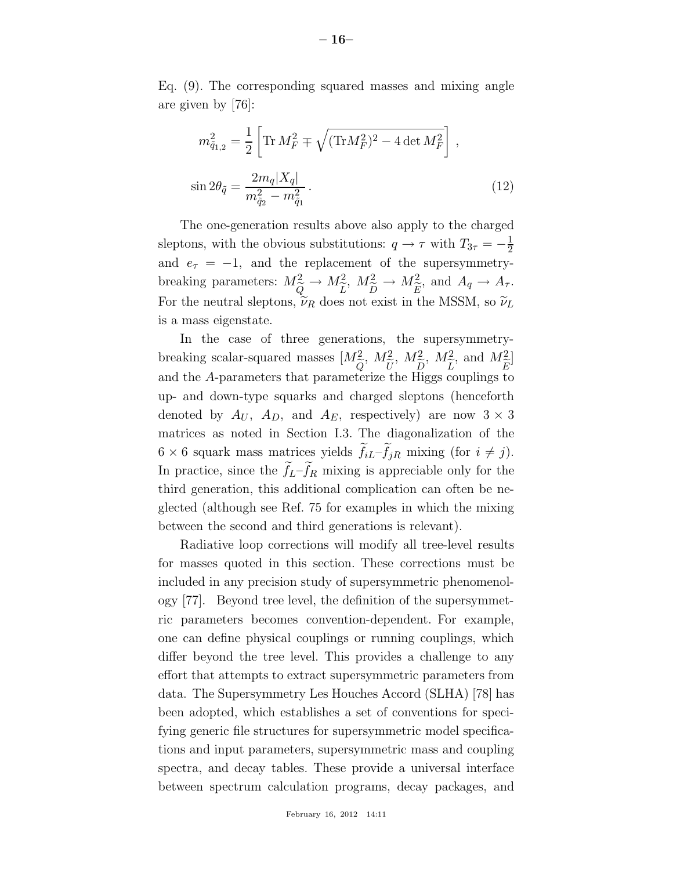Eq. (9). The corresponding squared masses and mixing angle are given by [76]:

$$
m_{\tilde{q}_{1,2}}^2 = \frac{1}{2} \left[ \text{Tr} \, M_F^2 \mp \sqrt{(\text{Tr} M_F^2)^2 - 4 \det M_F^2} \right],
$$
  

$$
\sin 2\theta_{\tilde{q}} = \frac{2m_q |X_q|}{m_{\tilde{q}_2}^2 - m_{\tilde{q}_1}^2}.
$$
 (12)

The one-generation results above also apply to the charged sleptons, with the obvious substitutions:  $q \to \tau$  with  $T_{3\tau} = -\frac{1}{2}$ 2 and  $e_{\tau} = -1$ , and the replacement of the supersymmetrybreaking parameters:  $M_{\odot}^2$  $Q_{\widetilde{i}}$  $\rightarrow M_{\widetilde{L}}^2$  $L$ <sub>c</sub> ,  $M_{\tilde{\tau}}^2$  $\frac{D}{\Omega}$  $\to M_{\widetilde{E}}^2$  $E_+$ , and  $A_q \to A_\tau$ . For the neutral sleptons,  $\widetilde{\nu}_R$  does not exist in the MSSM, so  $\widetilde{\nu}_L$ is a mass eigenstate.

In the case of three generations, the supersymmetrybreaking scalar-squared masses  $[M<sup>2</sup><sub>z</sub>]$ Q<br>Fo ,  $M_{\tilde{t}}^2$  $U_+$ ,  $M_{\tilde{\tau}}^2$ D<br>Ti ,  $M_{\tilde{\tau}}^2$  $\frac{L}{c}$ , and  $M_{\widetilde{\tau}}^2$ E<br>tr ] and the A-parameters that parameterize the Higgs couplings to up- and down-type squarks and charged sleptons (henceforth denoted by  $A_U$ ,  $A_D$ , and  $A_E$ , respectively) are now  $3 \times 3$ matrices as noted in Section I.3. The diagonalization of the  $6 \times 6$  squark mass matrices yields  $f_{iL}-f_{jR}$  mixing (for  $i \neq j$ ). In practice, since the  $f_L - f_R$  mixing is appreciable only for the third generation, this additional complication can often be neglected (although see Ref. 75 for examples in which the mixing between the second and third generations is relevant).

Radiative loop corrections will modify all tree-level results for masses quoted in this section. These corrections must be included in any precision study of supersymmetric phenomenology [77]. Beyond tree level, the definition of the supersymmetric parameters becomes convention-dependent. For example, one can define physical couplings or running couplings, which differ beyond the tree level. This provides a challenge to any effort that attempts to extract supersymmetric parameters from data. The Supersymmetry Les Houches Accord (SLHA) [78] has been adopted, which establishes a set of conventions for specifying generic file structures for supersymmetric model specifications and input parameters, supersymmetric mass and coupling spectra, and decay tables. These provide a universal interface between spectrum calculation programs, decay packages, and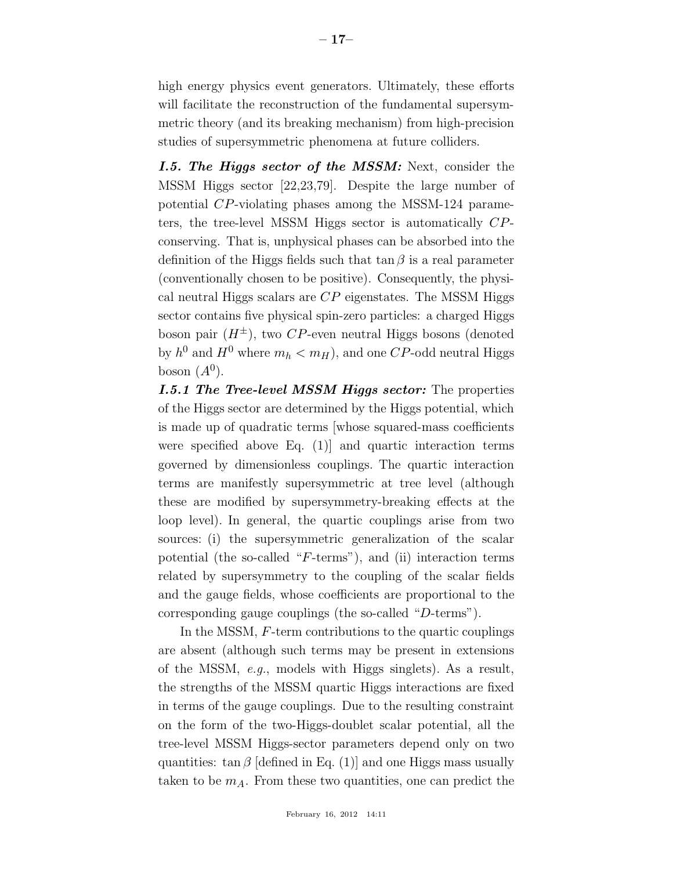high energy physics event generators. Ultimately, these efforts will facilitate the reconstruction of the fundamental supersymmetric theory (and its breaking mechanism) from high-precision studies of supersymmetric phenomena at future colliders.

*I.5. The Higgs sector of the MSSM:* Next, consider the MSSM Higgs sector [22,23,79]. Despite the large number of potential CP-violating phases among the MSSM-124 parameters, the tree-level MSSM Higgs sector is automatically CPconserving. That is, unphysical phases can be absorbed into the definition of the Higgs fields such that  $\tan \beta$  is a real parameter (conventionally chosen to be positive). Consequently, the physical neutral Higgs scalars are  $CP$  eigenstates. The MSSM Higgs sector contains five physical spin-zero particles: a charged Higgs boson pair  $(H^{\pm})$ , two CP-even neutral Higgs bosons (denoted by  $h^0$  and  $H^0$  where  $m_h < m_H$ ), and one  $CP$ -odd neutral Higgs boson  $(A^0)$ .

*I.5.1 The Tree-level MSSM Higgs sector:* The properties of the Higgs sector are determined by the Higgs potential, which is made up of quadratic terms [whose squared-mass coefficients were specified above Eq. (1)] and quartic interaction terms governed by dimensionless couplings. The quartic interaction terms are manifestly supersymmetric at tree level (although these are modified by supersymmetry-breaking effects at the loop level). In general, the quartic couplings arise from two sources: (i) the supersymmetric generalization of the scalar potential (the so-called "F-terms"), and (ii) interaction terms related by supersymmetry to the coupling of the scalar fields and the gauge fields, whose coefficients are proportional to the corresponding gauge couplings (the so-called "D-terms").

In the MSSM, F-term contributions to the quartic couplings are absent (although such terms may be present in extensions of the MSSM, *e.g.*, models with Higgs singlets). As a result, the strengths of the MSSM quartic Higgs interactions are fixed in terms of the gauge couplings. Due to the resulting constraint on the form of the two-Higgs-doublet scalar potential, all the tree-level MSSM Higgs-sector parameters depend only on two quantities:  $\tan \beta$  [defined in Eq. (1)] and one Higgs mass usually taken to be  $m_A$ . From these two quantities, one can predict the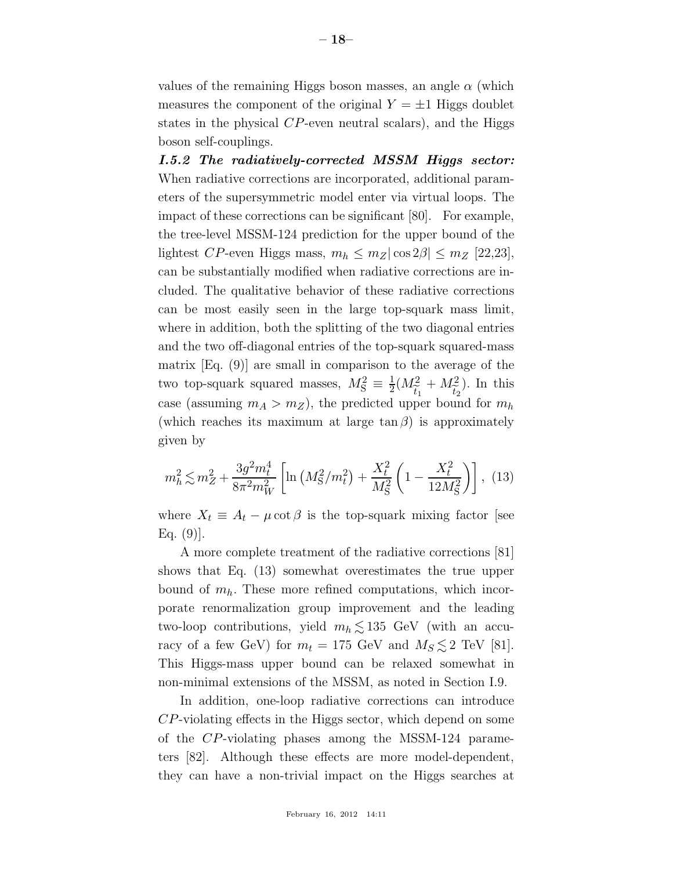values of the remaining Higgs boson masses, an angle  $\alpha$  (which measures the component of the original  $Y = \pm 1$  Higgs doublet states in the physical CP-even neutral scalars), and the Higgs boson self-couplings.

*I.5.2 The radiatively-corrected MSSM Higgs sector:* When radiative corrections are incorporated, additional parameters of the supersymmetric model enter via virtual loops. The impact of these corrections can be significant [80]. For example, the tree-level MSSM-124 prediction for the upper bound of the lightest CP-even Higgs mass,  $m_h \leq m_Z |\cos 2\beta| \leq m_Z$  [22,23], can be substantially modified when radiative corrections are included. The qualitative behavior of these radiative corrections can be most easily seen in the large top-squark mass limit, where in addition, both the splitting of the two diagonal entries and the two off-diagonal entries of the top-squark squared-mass matrix [Eq. (9)] are small in comparison to the average of the two top-squark squared masses,  $M_S^2 \equiv \frac{1}{2}$  $\frac{1}{2}(M_{\widetilde t_1}^2$  $\frac{t_1}{n}$  $+ M_{\tilde{i}}^2$  $rac{t_2}{11}$ ). In this case (assuming  $m_A > m_Z$ ), the predicted upper bound for  $m_h$ (which reaches its maximum at large  $\tan \beta$ ) is approximately given by

$$
m_h^2 \lesssim m_Z^2 + \frac{3g^2 m_t^4}{8\pi^2 m_W^2} \left[ \ln \left( M_S^2 / m_t^2 \right) + \frac{X_t^2}{M_S^2} \left( 1 - \frac{X_t^2}{12 M_S^2} \right) \right], \tag{13}
$$

where  $X_t \equiv A_t - \mu \cot \beta$  is the top-squark mixing factor [see Eq.  $(9)$ ].

A more complete treatment of the radiative corrections [81] shows that Eq. (13) somewhat overestimates the true upper bound of  $m_h$ . These more refined computations, which incorporate renormalization group improvement and the leading two-loop contributions, yield  $m_h \lesssim 135$  GeV (with an accuracy of a few GeV) for  $m_t = 175$  GeV and  $M_S \lesssim 2$  TeV [81]. This Higgs-mass upper bound can be relaxed somewhat in non-minimal extensions of the MSSM, as noted in Section I.9.

In addition, one-loop radiative corrections can introduce CP-violating effects in the Higgs sector, which depend on some of the CP-violating phases among the MSSM-124 parameters [82]. Although these effects are more model-dependent, they can have a non-trivial impact on the Higgs searches at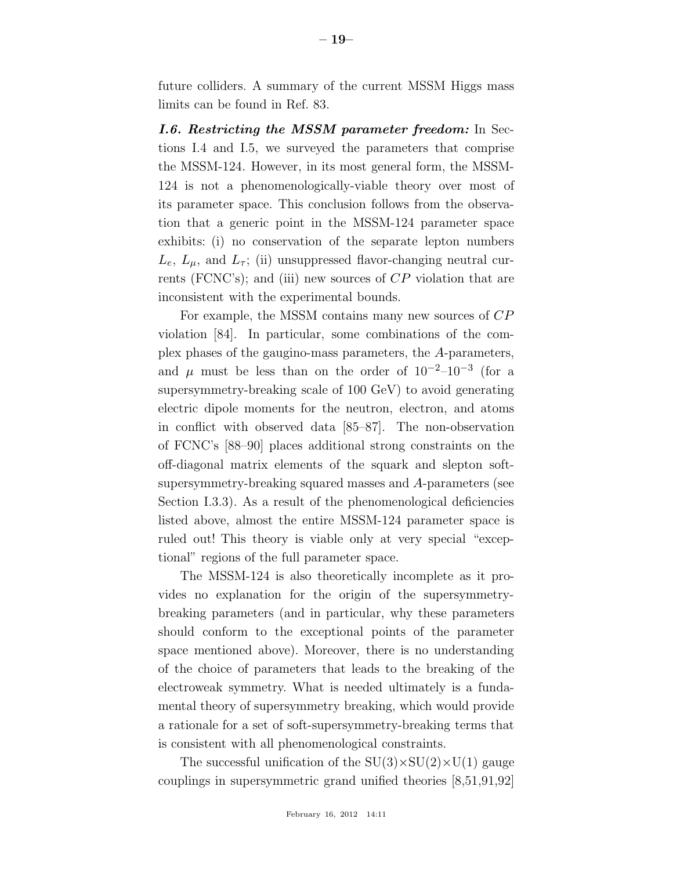future colliders. A summary of the current MSSM Higgs mass limits can be found in Ref. 83.

*I.6. Restricting the MSSM parameter freedom:* In Sections I.4 and I.5, we surveyed the parameters that comprise the MSSM-124. However, in its most general form, the MSSM-124 is not a phenomenologically-viable theory over most of its parameter space. This conclusion follows from the observation that a generic point in the MSSM-124 parameter space exhibits: (i) no conservation of the separate lepton numbers  $L_e, L_\mu$ , and  $L_\tau$ ; (ii) unsuppressed flavor-changing neutral currents (FCNC's); and (iii) new sources of CP violation that are inconsistent with the experimental bounds.

For example, the MSSM contains many new sources of CP violation [84]. In particular, some combinations of the complex phases of the gaugino-mass parameters, the A-parameters, and  $\mu$  must be less than on the order of  $10^{-2}-10^{-3}$  (for a supersymmetry-breaking scale of 100 GeV) to avoid generating electric dipole moments for the neutron, electron, and atoms in conflict with observed data [85–87]. The non-observation of FCNC's [88–90] places additional strong constraints on the off-diagonal matrix elements of the squark and slepton softsupersymmetry-breaking squared masses and A-parameters (see Section I.3.3). As a result of the phenomenological deficiencies listed above, almost the entire MSSM-124 parameter space is ruled out! This theory is viable only at very special "exceptional" regions of the full parameter space.

The MSSM-124 is also theoretically incomplete as it provides no explanation for the origin of the supersymmetrybreaking parameters (and in particular, why these parameters should conform to the exceptional points of the parameter space mentioned above). Moreover, there is no understanding of the choice of parameters that leads to the breaking of the electroweak symmetry. What is needed ultimately is a fundamental theory of supersymmetry breaking, which would provide a rationale for a set of soft-supersymmetry-breaking terms that is consistent with all phenomenological constraints.

The successful unification of the  $SU(3)\times SU(2)\times U(1)$  gauge couplings in supersymmetric grand unified theories [8,51,91,92]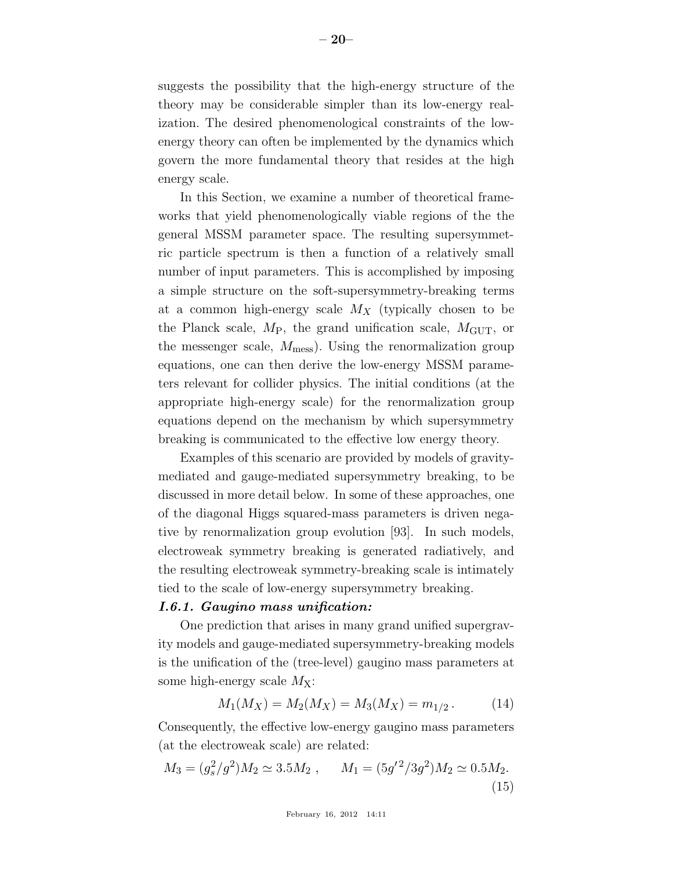suggests the possibility that the high-energy structure of the theory may be considerable simpler than its low-energy realization. The desired phenomenological constraints of the lowenergy theory can often be implemented by the dynamics which govern the more fundamental theory that resides at the high energy scale.

In this Section, we examine a number of theoretical frameworks that yield phenomenologically viable regions of the the general MSSM parameter space. The resulting supersymmetric particle spectrum is then a function of a relatively small number of input parameters. This is accomplished by imposing a simple structure on the soft-supersymmetry-breaking terms at a common high-energy scale  $M_X$  (typically chosen to be the Planck scale,  $M_P$ , the grand unification scale,  $M_{GUT}$ , or the messenger scale,  $M_{\text{mess}}$ ). Using the renormalization group equations, one can then derive the low-energy MSSM parameters relevant for collider physics. The initial conditions (at the appropriate high-energy scale) for the renormalization group equations depend on the mechanism by which supersymmetry breaking is communicated to the effective low energy theory.

Examples of this scenario are provided by models of gravitymediated and gauge-mediated supersymmetry breaking, to be discussed in more detail below. In some of these approaches, one of the diagonal Higgs squared-mass parameters is driven negative by renormalization group evolution [93]. In such models, electroweak symmetry breaking is generated radiatively, and the resulting electroweak symmetry-breaking scale is intimately tied to the scale of low-energy supersymmetry breaking.

## *I.6.1. Gaugino mass unification:*

One prediction that arises in many grand unified supergravity models and gauge-mediated supersymmetry-breaking models is the unification of the (tree-level) gaugino mass parameters at some high-energy scale  $M_X$ :

$$
M_1(M_X) = M_2(M_X) = M_3(M_X) = m_{1/2}.
$$
 (14)

Consequently, the effective low-energy gaugino mass parameters (at the electroweak scale) are related:

$$
M_3 = (g_s^2/g^2)M_2 \simeq 3.5M_2 , \qquad M_1 = (5g'^2/3g^2)M_2 \simeq 0.5M_2.
$$
\n(15)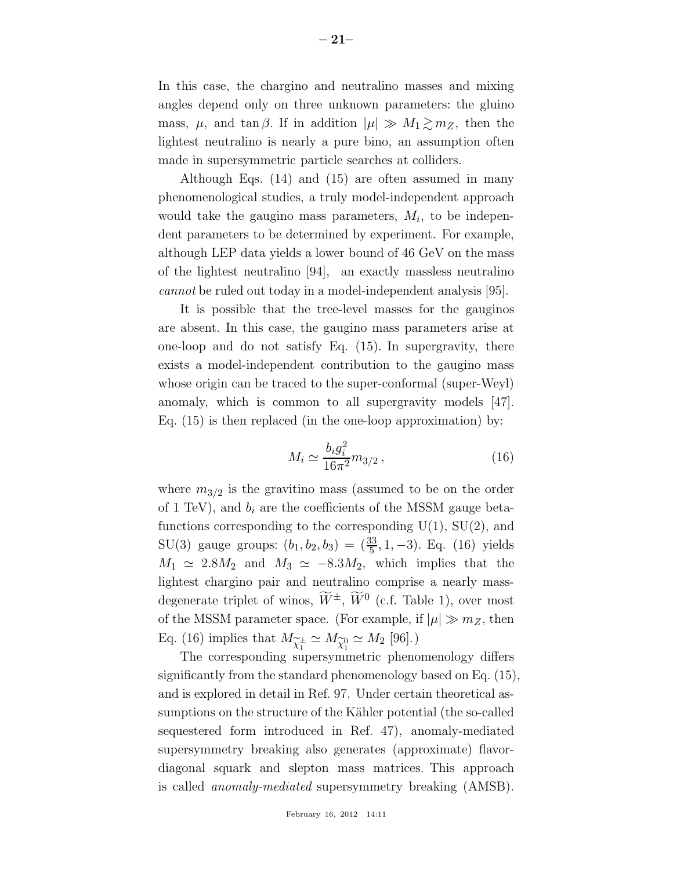In this case, the chargino and neutralino masses and mixing angles depend only on three unknown parameters: the gluino mass,  $\mu$ , and tan  $\beta$ . If in addition  $|\mu| \gg M_1 \gtrsim m_Z$ , then the lightest neutralino is nearly a pure bino, an assumption often made in supersymmetric particle searches at colliders.

Although Eqs. (14) and (15) are often assumed in many phenomenological studies, a truly model-independent approach would take the gaugino mass parameters,  $M_i$ , to be independent parameters to be determined by experiment. For example, although LEP data yields a lower bound of 46 GeV on the mass of the lightest neutralino [94], an exactly massless neutralino *cannot* be ruled out today in a model-independent analysis [95].

It is possible that the tree-level masses for the gauginos are absent. In this case, the gaugino mass parameters arise at one-loop and do not satisfy Eq. (15). In supergravity, there exists a model-independent contribution to the gaugino mass whose origin can be traced to the super-conformal (super-Weyl) anomaly, which is common to all supergravity models [47]. Eq. (15) is then replaced (in the one-loop approximation) by:

$$
M_i \simeq \frac{b_i g_i^2}{16\pi^2} m_{3/2} \,, \tag{16}
$$

where  $m_{3/2}$  is the gravitino mass (assumed to be on the order of 1 TeV), and  $b_i$  are the coefficients of the MSSM gauge betafunctions corresponding to the corresponding  $U(1)$ ,  $SU(2)$ , and SU(3) gauge groups:  $(b_1, b_2, b_3) = (\frac{33}{5}, 1, -3)$ . Eq. (16) yields  $M_1 \simeq 2.8M_2$  and  $M_3 \simeq -8.3M_2$ , which implies that the lightest chargino pair and neutralino comprise a nearly massdegenerate triplet of winos,  $\widetilde{W}^{\pm}$ ,  $\widetilde{W}^0$  (c.f. Table 1), over most of the MSSM parameter space. (For example, if  $|\mu| \gg m_Z$ , then Eq. (16) implies that  $M_{\widetilde{\chi}_1^{\pm}}$ <br>The corresponding sup  $\chi^{\scriptscriptstyle{\pm}}_1 \simeq M_{\widetilde{\chi}^0_1} \simeq M_2 \; [96].$ 

The corresponding supersymmetric phenomenology differs significantly from the standard phenomenology based on Eq. (15), and is explored in detail in Ref. 97. Under certain theoretical assumptions on the structure of the Kähler potential (the so-called sequestered form introduced in Ref. 47), anomaly-mediated supersymmetry breaking also generates (approximate) flavordiagonal squark and slepton mass matrices. This approach is called *anomaly-mediated* supersymmetry breaking (AMSB).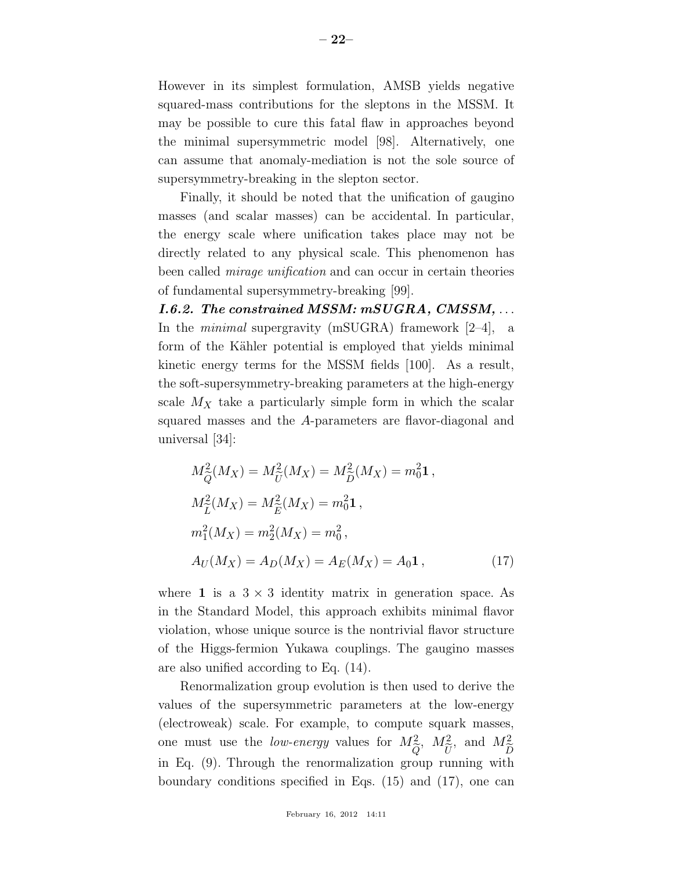However in its simplest formulation, AMSB yields negative squared-mass contributions for the sleptons in the MSSM. It may be possible to cure this fatal flaw in approaches beyond the minimal supersymmetric model [98]. Alternatively, one can assume that anomaly-mediation is not the sole source of supersymmetry-breaking in the slepton sector.

Finally, it should be noted that the unification of gaugino masses (and scalar masses) can be accidental. In particular, the energy scale where unification takes place may not be directly related to any physical scale. This phenomenon has been called *mirage unification* and can occur in certain theories of fundamental supersymmetry-breaking [99].

*I.6.2. The constrained MSSM: mSUGRA, CMSSM,* . . . In the *minimal* supergravity (mSUGRA) framework [2–4], a form of the Kähler potential is employed that yields minimal kinetic energy terms for the MSSM fields [100]. As a result, the soft-supersymmetry-breaking parameters at the high-energy scale  $M_X$  take a particularly simple form in which the scalar squared masses and the A-parameters are flavor-diagonal and universal [34]:

$$
M_{\widetilde{Q}}^2(M_X) = M_{\widetilde{U}}^2(M_X) = M_{\widetilde{D}}^2(M_X) = m_0^2 \mathbf{1},
$$
  
\n
$$
M_{\widetilde{L}}^2(M_X) = M_{\widetilde{E}}^2(M_X) = m_0^2 \mathbf{1},
$$
  
\n
$$
m_1^2(M_X) = m_2^2(M_X) = m_0^2,
$$
  
\n
$$
A_U(M_X) = A_D(M_X) = A_E(M_X) = A_0 \mathbf{1},
$$
\n(17)

where 1 is a  $3 \times 3$  identity matrix in generation space. As in the Standard Model, this approach exhibits minimal flavor violation, whose unique source is the nontrivial flavor structure of the Higgs-fermion Yukawa couplings. The gaugino masses are also unified according to Eq. (14).

Renormalization group evolution is then used to derive the values of the supersymmetric parameters at the low-energy (electroweak) scale. For example, to compute squark masses, one must use the *low-energy* values for  $M^2_{\tilde{c}}$  $\frac{Q}{C}$ ,  $M_{\tilde{t}}^2$  $\frac{U}{\nu}$ , and  $M_{\widetilde{\tau}}^2$  $D \over b \cdot \bf{h}$ in Eq. (9). Through the renormalization group running with boundary conditions specified in Eqs. (15) and (17), one can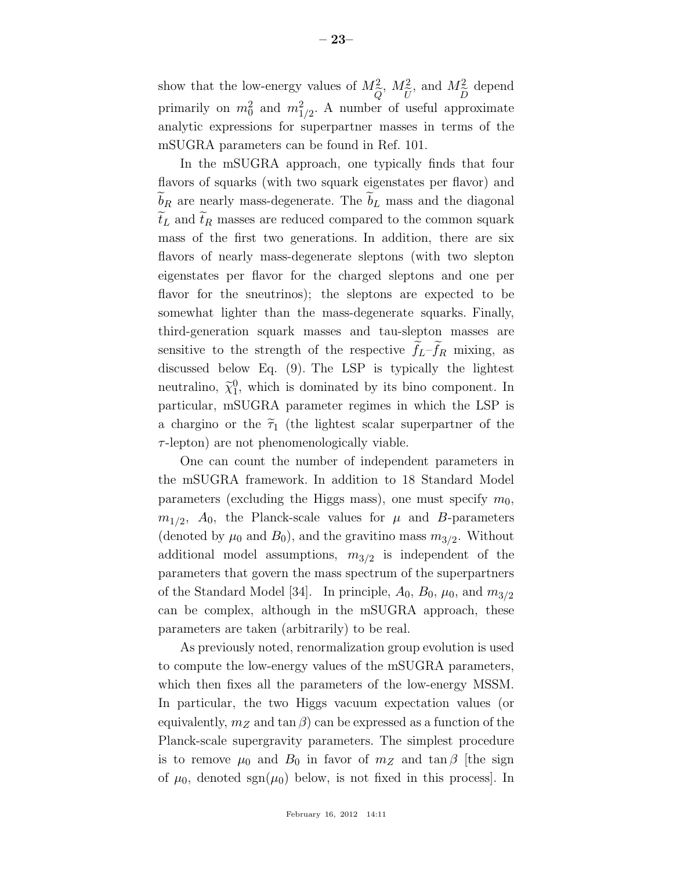show that the low-energy values of  $M^2_{\tilde{c}}$ ,  $M^2_{\tilde{c}}$ , and  $M^2_{\tilde{c}}$  depend primarily on  $m_0^2$  and  $m_{1/2}^2$ . A number of useful approximate analytic expressions for superpartner masses in terms of the mSUGRA parameters can be found in Ref. 101.

In the mSUGRA approach, one typically finds that four flavors of squarks (with two squark eigenstates per flavor) and  $\tilde{b}_R$  are nearly mass-degenerate. The  $\tilde{b}_L$  mass and the diagonal  $\tilde{t}_L$  and  $\tilde{t}_R$  masses are reduced compared to the common squark mass of the first two generations. In addition, there are six flavors of nearly mass-degenerate sleptons (with two slepton eigenstates per flavor for the charged sleptons and one per flavor for the sneutrinos); the sleptons are expected to be somewhat lighter than the mass-degenerate squarks. Finally, third-generation squark masses and tau-slepton masses are sensitive to the strength of the respective  $f_L - f_R$  mixing, as discussed below Eq. (9). The LSP is typically the lightest neutralino,  $\tilde{\chi}_1^0$ , which is dominated by its bino component. In particular, mSUGRA parameter regimes in which the LSP is a chargino or the  $\tilde{\tau}_1$  (the lightest scalar superpartner of the  $\tau$ -lepton) are not phenomenologically viable.

One can count the number of independent parameters in the mSUGRA framework. In addition to 18 Standard Model parameters (excluding the Higgs mass), one must specify  $m_0$ ,  $m_{1/2}$ ,  $A_0$ , the Planck-scale values for  $\mu$  and B-parameters (denoted by  $\mu_0$  and  $B_0$ ), and the gravitino mass  $m_{3/2}$ . Without additional model assumptions,  $m_{3/2}$  is independent of the parameters that govern the mass spectrum of the superpartners of the Standard Model [34]. In principle,  $A_0$ ,  $B_0$ ,  $\mu_0$ , and  $m_{3/2}$ can be complex, although in the mSUGRA approach, these parameters are taken (arbitrarily) to be real.

As previously noted, renormalization group evolution is used to compute the low-energy values of the mSUGRA parameters, which then fixes all the parameters of the low-energy MSSM. In particular, the two Higgs vacuum expectation values (or equivalently,  $m_Z$  and  $\tan \beta$  can be expressed as a function of the Planck-scale supergravity parameters. The simplest procedure is to remove  $\mu_0$  and  $B_0$  in favor of  $m_Z$  and  $\tan \beta$  [the sign of  $\mu_0$ , denoted sgn $(\mu_0)$  below, is not fixed in this process.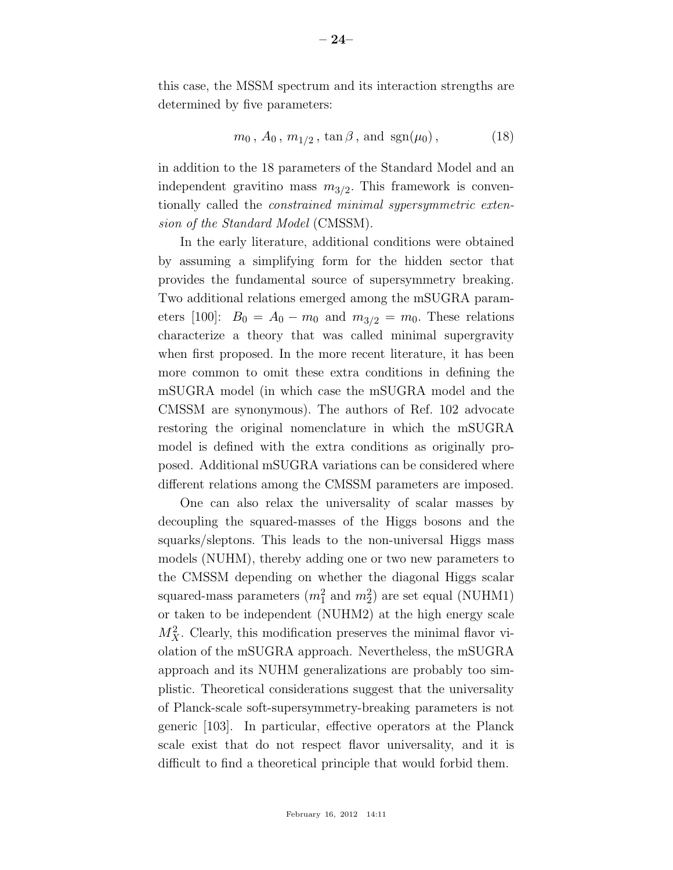this case, the MSSM spectrum and its interaction strengths are determined by five parameters:

$$
m_0
$$
,  $A_0$ ,  $m_{1/2}$ ,  $\tan \beta$ , and  $\text{sgn}(\mu_0)$ , (18)

in addition to the 18 parameters of the Standard Model and an independent gravitino mass  $m_{3/2}$ . This framework is conventionally called the *constrained minimal sypersymmetric extension of the Standard Model* (CMSSM).

In the early literature, additional conditions were obtained by assuming a simplifying form for the hidden sector that provides the fundamental source of supersymmetry breaking. Two additional relations emerged among the mSUGRA parameters [100]:  $B_0 = A_0 - m_0$  and  $m_{3/2} = m_0$ . These relations characterize a theory that was called minimal supergravity when first proposed. In the more recent literature, it has been more common to omit these extra conditions in defining the mSUGRA model (in which case the mSUGRA model and the CMSSM are synonymous). The authors of Ref. 102 advocate restoring the original nomenclature in which the mSUGRA model is defined with the extra conditions as originally proposed. Additional mSUGRA variations can be considered where different relations among the CMSSM parameters are imposed.

One can also relax the universality of scalar masses by decoupling the squared-masses of the Higgs bosons and the squarks/sleptons. This leads to the non-universal Higgs mass models (NUHM), thereby adding one or two new parameters to the CMSSM depending on whether the diagonal Higgs scalar squared-mass parameters  $(m_1^2 \text{ and } m_2^2)$  are set equal (NUHM1) or taken to be independent (NUHM2) at the high energy scale  $M_X^2$ . Clearly, this modification preserves the minimal flavor violation of the mSUGRA approach. Nevertheless, the mSUGRA approach and its NUHM generalizations are probably too simplistic. Theoretical considerations suggest that the universality of Planck-scale soft-supersymmetry-breaking parameters is not generic [103]. In particular, effective operators at the Planck scale exist that do not respect flavor universality, and it is difficult to find a theoretical principle that would forbid them.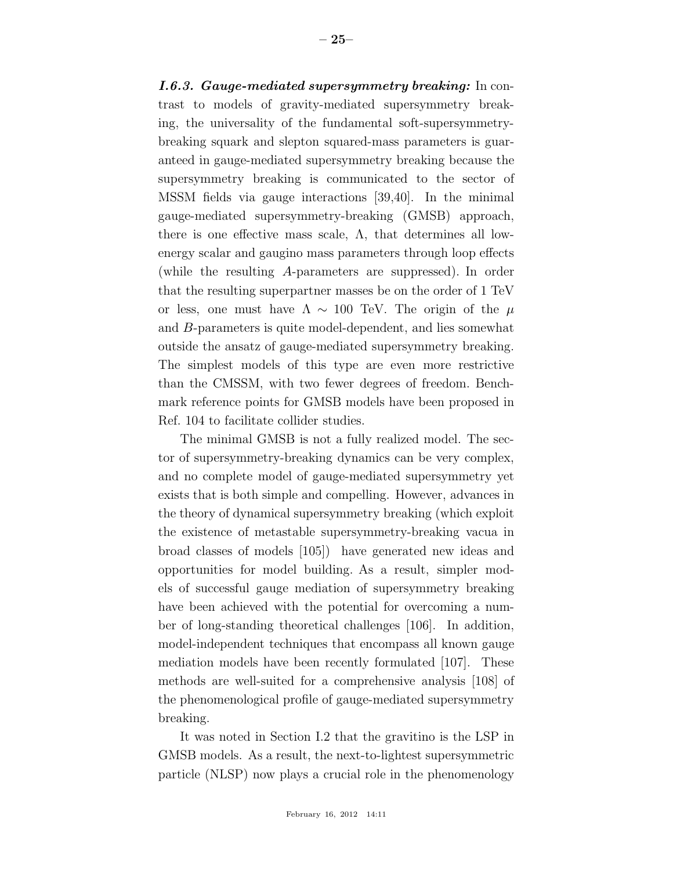*I.6.3. Gauge-mediated supersymmetry breaking:* In contrast to models of gravity-mediated supersymmetry breaking, the universality of the fundamental soft-supersymmetrybreaking squark and slepton squared-mass parameters is guaranteed in gauge-mediated supersymmetry breaking because the supersymmetry breaking is communicated to the sector of MSSM fields via gauge interactions [39,40]. In the minimal gauge-mediated supersymmetry-breaking (GMSB) approach, there is one effective mass scale,  $\Lambda$ , that determines all lowenergy scalar and gaugino mass parameters through loop effects (while the resulting A-parameters are suppressed). In order that the resulting superpartner masses be on the order of 1 TeV or less, one must have  $\Lambda \sim 100$  TeV. The origin of the  $\mu$ and B-parameters is quite model-dependent, and lies somewhat outside the ansatz of gauge-mediated supersymmetry breaking. The simplest models of this type are even more restrictive than the CMSSM, with two fewer degrees of freedom. Benchmark reference points for GMSB models have been proposed in Ref. 104 to facilitate collider studies.

The minimal GMSB is not a fully realized model. The sector of supersymmetry-breaking dynamics can be very complex, and no complete model of gauge-mediated supersymmetry yet exists that is both simple and compelling. However, advances in the theory of dynamical supersymmetry breaking (which exploit the existence of metastable supersymmetry-breaking vacua in broad classes of models [105]) have generated new ideas and opportunities for model building. As a result, simpler models of successful gauge mediation of supersymmetry breaking have been achieved with the potential for overcoming a number of long-standing theoretical challenges [106]. In addition, model-independent techniques that encompass all known gauge mediation models have been recently formulated [107]. These methods are well-suited for a comprehensive analysis [108] of the phenomenological profile of gauge-mediated supersymmetry breaking.

It was noted in Section I.2 that the gravitino is the LSP in GMSB models. As a result, the next-to-lightest supersymmetric particle (NLSP) now plays a crucial role in the phenomenology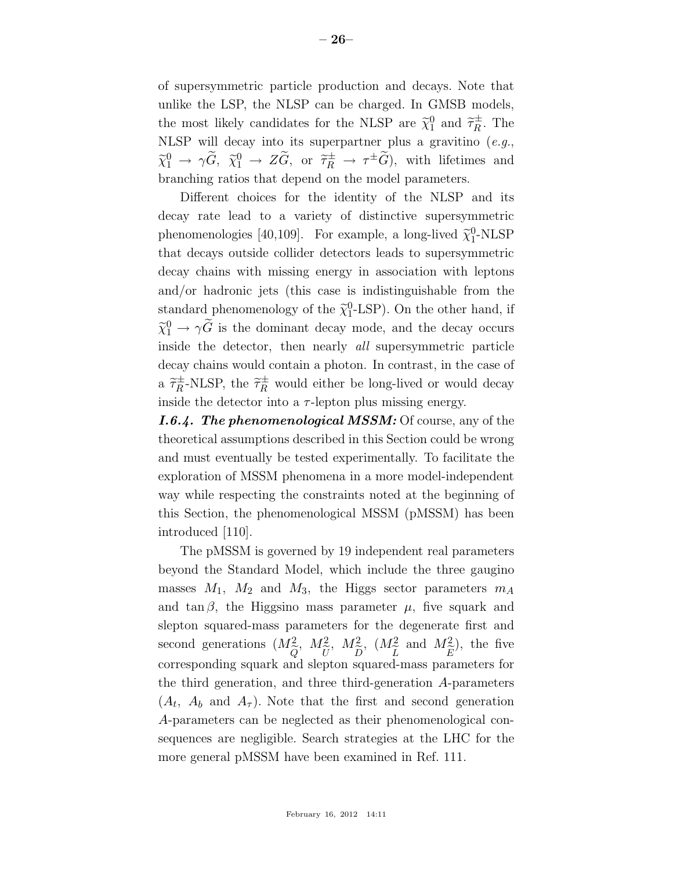of supersymmetric particle production and decays. Note that unlike the LSP, the NLSP can be charged. In GMSB models, the most likely candidates for the NLSP are  $\tilde{\chi}_1^0$  and  $\tilde{\tau}_R^{\pm}$ . The NLSP will decay into its superpartner plus a gravitino (*e.g.*,  $\widetilde{\chi}_1^0 \rightarrow \gamma \widetilde{G}, \ \widetilde{\chi}_1^0 \rightarrow Z \widetilde{G}, \text{ or } \widetilde{\tau}_R^{\pm} \rightarrow \tau^{\pm} \widetilde{G}$ , with lifetimes and branching ratios that depend on the model parameters.

Different choices for the identity of the NLSP and its decay rate lead to a variety of distinctive supersymmetric phenomenologies [40,109]. For example, a long-lived  $\tilde{\chi}_1^0$ -NLSP that decays outside collider detectors leads to supersymmetric decay chains with missing energy in association with leptons and/or hadronic jets (this case is indistinguishable from the standard phenomenology of the  $\tilde{\chi}_1^0$ -LSP). On the other hand, if  $\tilde{\chi}^0_1 \rightarrow \gamma \tilde{G}$  is the dominant decay mode, and the decay occurs inside the detector, then nearly *all* supersymmetric particle decay chains would contain a photon. In contrast, in the case of a  $\tilde{\tau}_R^{\pm}$ -NLSP, the  $\tilde{\tau}_R^{\pm}$  would either be long-lived or would decay inside the detector into a  $\tau$ -lepton plus missing energy.

*I.6.4. The phenomenological MSSM:* Of course, any of the theoretical assumptions described in this Section could be wrong and must eventually be tested experimentally. To facilitate the exploration of MSSM phenomena in a more model-independent way while respecting the constraints noted at the beginning of this Section, the phenomenological MSSM (pMSSM) has been introduced [110].

The pMSSM is governed by 19 independent real parameters beyond the Standard Model, which include the three gaugino masses  $M_1$ ,  $M_2$  and  $M_3$ , the Higgs sector parameters  $m_A$ and tan  $\beta$ , the Higgsino mass parameter  $\mu$ , five squark and slepton squared-mass parameters for the degenerate first and second generations  $(M<sup>2</sup><sub>o</sub>)$  $Q_{\text{D}q}$  $M_{\tilde{t}}^2$  $\frac{U}{D}$ ,  $M_{\tilde{\tau}}^2$  $\frac{D}{20}$ ,  $(M_z^2)$ L<br>1 and  $M_{\tilde{\tau}}^2$  $\frac{E}{r}$ ), the five corresponding squark and slepton squared-mass parameters for the third generation, and three third-generation A-parameters  $(A_t, A_b \text{ and } A_{\tau}).$  Note that the first and second generation A-parameters can be neglected as their phenomenological consequences are negligible. Search strategies at the LHC for the more general pMSSM have been examined in Ref. 111.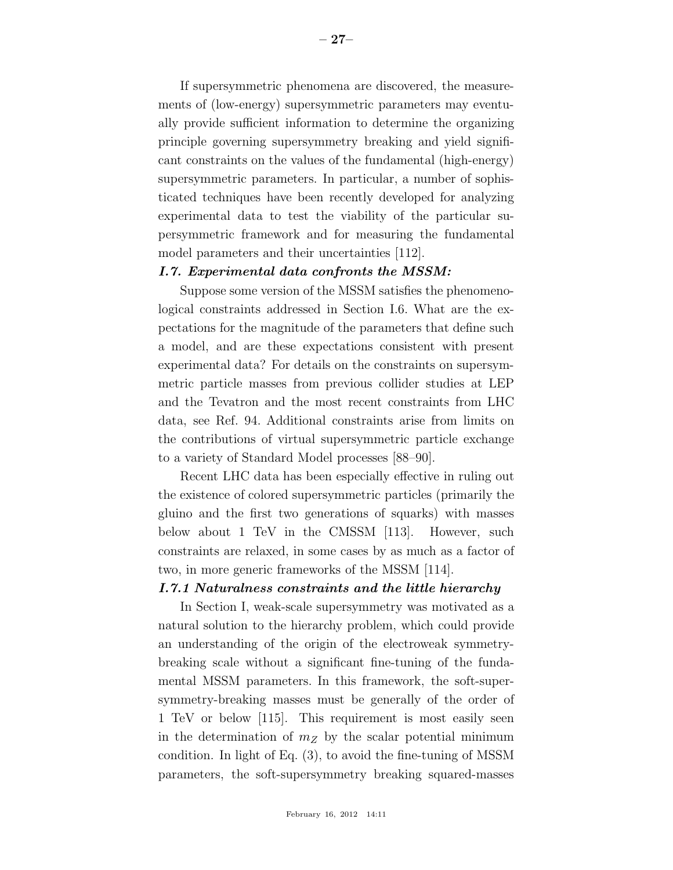If supersymmetric phenomena are discovered, the measurements of (low-energy) supersymmetric parameters may eventually provide sufficient information to determine the organizing principle governing supersymmetry breaking and yield significant constraints on the values of the fundamental (high-energy) supersymmetric parameters. In particular, a number of sophisticated techniques have been recently developed for analyzing experimental data to test the viability of the particular supersymmetric framework and for measuring the fundamental model parameters and their uncertainties [112].

## *I.7. Experimental data confronts the MSSM:*

Suppose some version of the MSSM satisfies the phenomenological constraints addressed in Section I.6. What are the expectations for the magnitude of the parameters that define such a model, and are these expectations consistent with present experimental data? For details on the constraints on supersymmetric particle masses from previous collider studies at LEP and the Tevatron and the most recent constraints from LHC data, see Ref. 94. Additional constraints arise from limits on the contributions of virtual supersymmetric particle exchange to a variety of Standard Model processes [88–90].

Recent LHC data has been especially effective in ruling out the existence of colored supersymmetric particles (primarily the gluino and the first two generations of squarks) with masses below about 1 TeV in the CMSSM [113]. However, such constraints are relaxed, in some cases by as much as a factor of two, in more generic frameworks of the MSSM [114].

## *I.7.1 Naturalness constraints and the little hierarchy*

In Section I, weak-scale supersymmetry was motivated as a natural solution to the hierarchy problem, which could provide an understanding of the origin of the electroweak symmetrybreaking scale without a significant fine-tuning of the fundamental MSSM parameters. In this framework, the soft-supersymmetry-breaking masses must be generally of the order of 1 TeV or below [115]. This requirement is most easily seen in the determination of  $m_Z$  by the scalar potential minimum condition. In light of Eq. (3), to avoid the fine-tuning of MSSM parameters, the soft-supersymmetry breaking squared-masses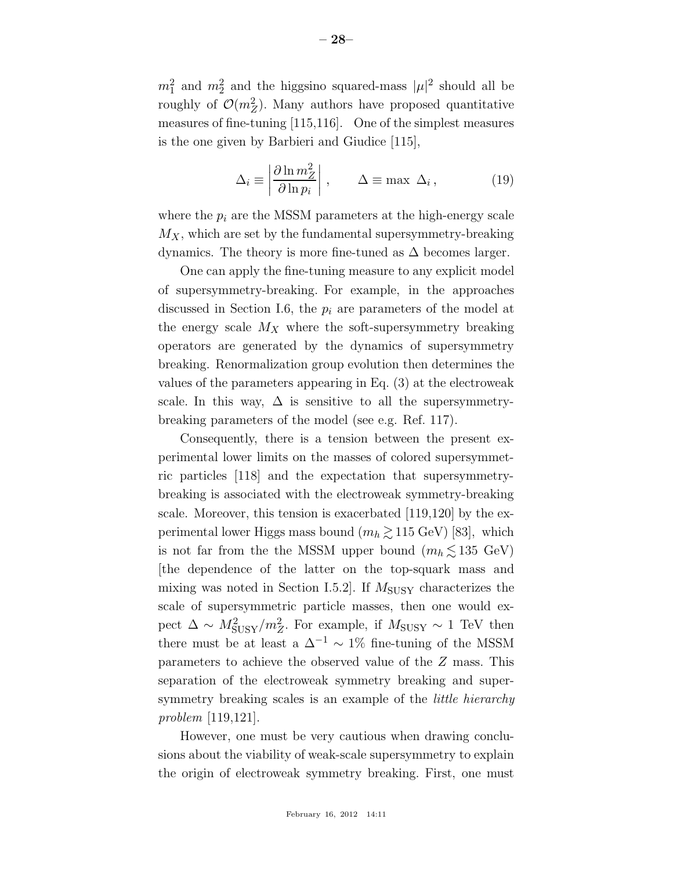$m_1^2$  and  $m_2^2$  and the higgsino squared-mass  $|\mu|^2$  should all be roughly of  $\mathcal{O}(m_Z^2)$ . Many authors have proposed quantitative measures of fine-tuning [115,116]. One of the simplest measures is the one given by Barbieri and Giudice [115],

$$
\Delta_i \equiv \left| \frac{\partial \ln m_Z^2}{\partial \ln p_i} \right|, \qquad \Delta \equiv \max \ \Delta_i, \tag{19}
$$

where the  $p_i$  are the MSSM parameters at the high-energy scale  $M_X$ , which are set by the fundamental supersymmetry-breaking dynamics. The theory is more fine-tuned as  $\Delta$  becomes larger.

One can apply the fine-tuning measure to any explicit model of supersymmetry-breaking. For example, in the approaches discussed in Section I.6, the  $p_i$  are parameters of the model at the energy scale  $M_X$  where the soft-supersymmetry breaking operators are generated by the dynamics of supersymmetry breaking. Renormalization group evolution then determines the values of the parameters appearing in Eq. (3) at the electroweak scale. In this way,  $\Delta$  is sensitive to all the supersymmetrybreaking parameters of the model (see e.g. Ref. 117).

Consequently, there is a tension between the present experimental lower limits on the masses of colored supersymmetric particles [118] and the expectation that supersymmetrybreaking is associated with the electroweak symmetry-breaking scale. Moreover, this tension is exacerbated [119,120] by the experimental lower Higgs mass bound  $(m_h \gtrsim 115 \text{ GeV})$  [83], which is not far from the the MSSM upper bound  $(m_h \lesssim 135 \text{ GeV})$ [the dependence of the latter on the top-squark mass and mixing was noted in Section I.5.2. If  $M_{\text{SUSY}}$  characterizes the scale of supersymmetric particle masses, then one would expect  $\Delta \sim M_{\text{SUSY}}^2/m_Z^2$ . For example, if  $M_{\text{SUSY}} \sim 1$  TeV then there must be at least a  $\Delta^{-1} \sim 1\%$  fine-tuning of the MSSM parameters to achieve the observed value of the Z mass. This separation of the electroweak symmetry breaking and supersymmetry breaking scales is an example of the *little hierarchy problem* [119,121].

However, one must be very cautious when drawing conclusions about the viability of weak-scale supersymmetry to explain the origin of electroweak symmetry breaking. First, one must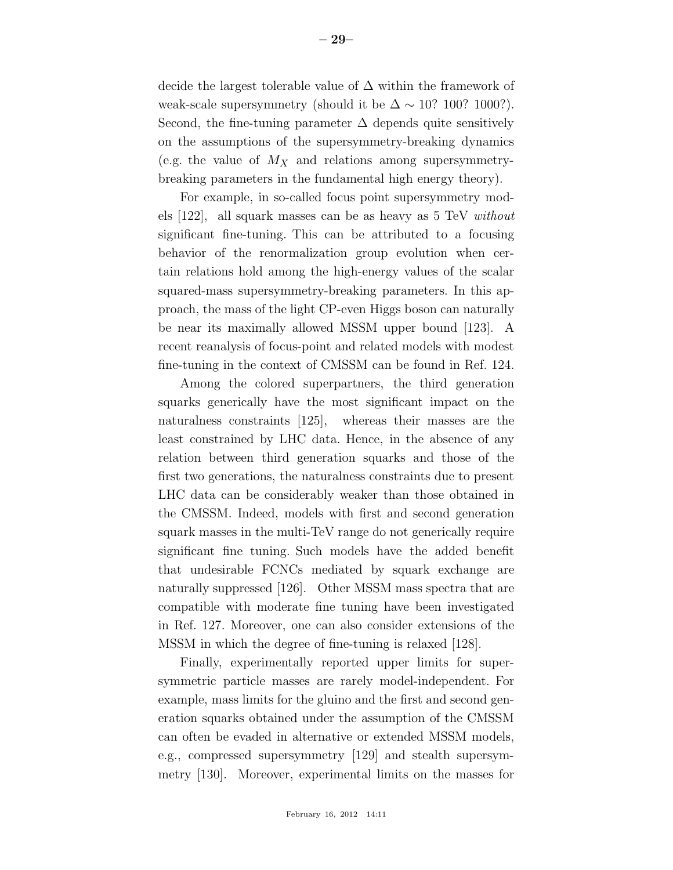decide the largest tolerable value of  $\Delta$  within the framework of weak-scale supersymmetry (should it be  $\Delta \sim 10$ ? 100? 1000?). Second, the fine-tuning parameter  $\Delta$  depends quite sensitively on the assumptions of the supersymmetry-breaking dynamics (e.g. the value of  $M_X$  and relations among supersymmetrybreaking parameters in the fundamental high energy theory).

For example, in so-called focus point supersymmetry models [122], all squark masses can be as heavy as 5 TeV *without* significant fine-tuning. This can be attributed to a focusing behavior of the renormalization group evolution when certain relations hold among the high-energy values of the scalar squared-mass supersymmetry-breaking parameters. In this approach, the mass of the light CP-even Higgs boson can naturally be near its maximally allowed MSSM upper bound [123]. A recent reanalysis of focus-point and related models with modest fine-tuning in the context of CMSSM can be found in Ref. 124.

Among the colored superpartners, the third generation squarks generically have the most significant impact on the naturalness constraints [125], whereas their masses are the least constrained by LHC data. Hence, in the absence of any relation between third generation squarks and those of the first two generations, the naturalness constraints due to present LHC data can be considerably weaker than those obtained in the CMSSM. Indeed, models with first and second generation squark masses in the multi-TeV range do not generically require significant fine tuning. Such models have the added benefit that undesirable FCNCs mediated by squark exchange are naturally suppressed [126]. Other MSSM mass spectra that are compatible with moderate fine tuning have been investigated in Ref. 127. Moreover, one can also consider extensions of the MSSM in which the degree of fine-tuning is relaxed [128].

Finally, experimentally reported upper limits for supersymmetric particle masses are rarely model-independent. For example, mass limits for the gluino and the first and second generation squarks obtained under the assumption of the CMSSM can often be evaded in alternative or extended MSSM models, e.g., compressed supersymmetry [129] and stealth supersymmetry [130]. Moreover, experimental limits on the masses for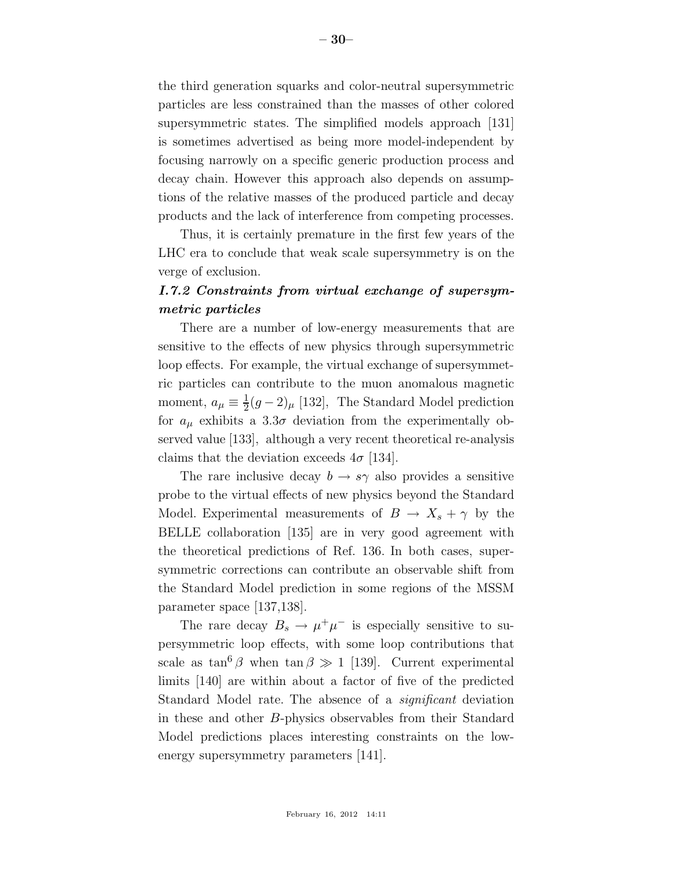the third generation squarks and color-neutral supersymmetric particles are less constrained than the masses of other colored supersymmetric states. The simplified models approach [131] is sometimes advertised as being more model-independent by focusing narrowly on a specific generic production process and decay chain. However this approach also depends on assumptions of the relative masses of the produced particle and decay products and the lack of interference from competing processes.

Thus, it is certainly premature in the first few years of the LHC era to conclude that weak scale supersymmetry is on the verge of exclusion.

# *I.7.2 Constraints from virtual exchange of supersymmetric particles*

There are a number of low-energy measurements that are sensitive to the effects of new physics through supersymmetric loop effects. For example, the virtual exchange of supersymmetric particles can contribute to the muon anomalous magnetic moment,  $a_{\mu} \equiv \frac{1}{2}$  $\frac{1}{2}(g-2)_{\mu}$  [132], The Standard Model prediction for  $a_{\mu}$  exhibits a 3.3 $\sigma$  deviation from the experimentally observed value [133], although a very recent theoretical re-analysis claims that the deviation exceeds  $4\sigma$  [134].

The rare inclusive decay  $b \to s\gamma$  also provides a sensitive probe to the virtual effects of new physics beyond the Standard Model. Experimental measurements of  $B \to X_s + \gamma$  by the BELLE collaboration [135] are in very good agreement with the theoretical predictions of Ref. 136. In both cases, supersymmetric corrections can contribute an observable shift from the Standard Model prediction in some regions of the MSSM parameter space [137,138].

The rare decay  $B_s \to \mu^+\mu^-$  is especially sensitive to supersymmetric loop effects, with some loop contributions that scale as  $\tan^{6} \beta$  when  $\tan \beta \gg 1$  [139]. Current experimental limits [140] are within about a factor of five of the predicted Standard Model rate. The absence of a *significant* deviation in these and other B-physics observables from their Standard Model predictions places interesting constraints on the lowenergy supersymmetry parameters  $|141|$ .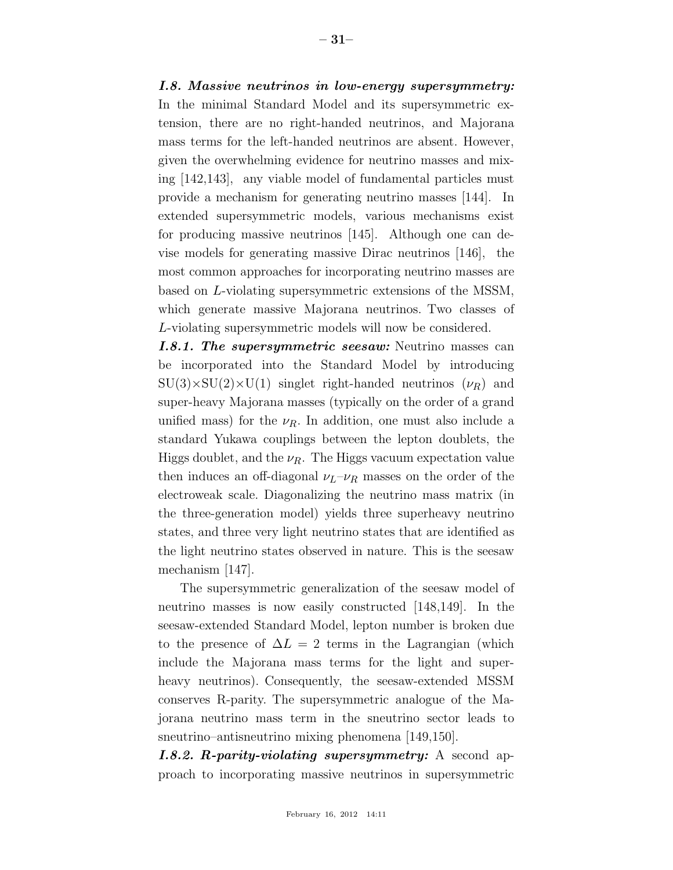### *I.8. Massive neutrinos in low-energy supersymmetry:*

In the minimal Standard Model and its supersymmetric extension, there are no right-handed neutrinos, and Majorana mass terms for the left-handed neutrinos are absent. However, given the overwhelming evidence for neutrino masses and mixing [142,143], any viable model of fundamental particles must provide a mechanism for generating neutrino masses [144]. In extended supersymmetric models, various mechanisms exist for producing massive neutrinos [145]. Although one can devise models for generating massive Dirac neutrinos [146], the most common approaches for incorporating neutrino masses are based on L-violating supersymmetric extensions of the MSSM, which generate massive Majorana neutrinos. Two classes of L-violating supersymmetric models will now be considered.

*I.8.1. The supersymmetric seesaw:* Neutrino masses can be incorporated into the Standard Model by introducing  $SU(3)\times SU(2)\times U(1)$  singlet right-handed neutrinos  $(\nu_R)$  and super-heavy Majorana masses (typically on the order of a grand unified mass) for the  $\nu_R$ . In addition, one must also include a standard Yukawa couplings between the lepton doublets, the Higgs doublet, and the  $\nu_R$ . The Higgs vacuum expectation value then induces an off-diagonal  $\nu_L-\nu_R$  masses on the order of the electroweak scale. Diagonalizing the neutrino mass matrix (in the three-generation model) yields three superheavy neutrino states, and three very light neutrino states that are identified as the light neutrino states observed in nature. This is the seesaw mechanism [147].

The supersymmetric generalization of the seesaw model of neutrino masses is now easily constructed [148,149]. In the seesaw-extended Standard Model, lepton number is broken due to the presence of  $\Delta L = 2$  terms in the Lagrangian (which include the Majorana mass terms for the light and superheavy neutrinos). Consequently, the seesaw-extended MSSM conserves R-parity. The supersymmetric analogue of the Majorana neutrino mass term in the sneutrino sector leads to sneutrino–antisneutrino mixing phenomena [149,150].

*I.8.2. R-parity-violating supersymmetry:* A second approach to incorporating massive neutrinos in supersymmetric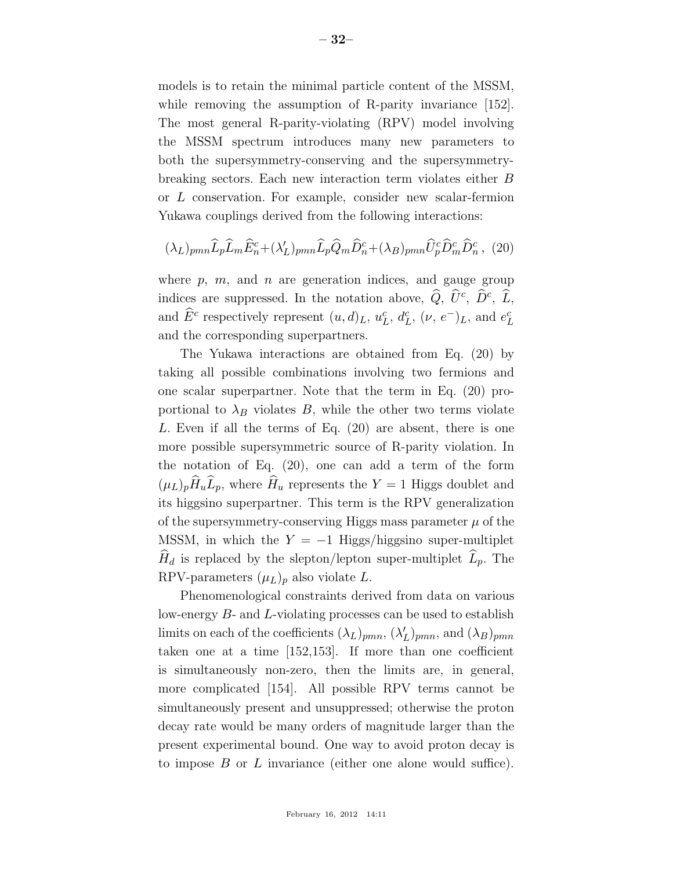models is to retain the minimal particle content of the MSSM, while removing the assumption of R-parity invariance [152]. The most general R-parity-violating (RPV) model involving the MSSM spectrum introduces many new parameters to both the supersymmetry-conserving and the supersymmetrybreaking sectors. Each new interaction term violates either B or L conservation. For example, consider new scalar-fermion Yukawa couplings derived from the following interactions:

$$
(\lambda_L)_{pmn} \widehat{L}_p \widehat{L}_m \widehat{E}_n^c + (\lambda'_L)_{pmn} \widehat{L}_p \widehat{Q}_m \widehat{D}_n^c + (\lambda_B)_{pmn} \widehat{U}_p^c \widehat{D}_m^c \widehat{D}_n^c , \tag{20}
$$

where p, m, and n are generation indices, and gauge group indices are suppressed. In the notation above,  $\hat{Q}$ ,  $\hat{U}^c$ ,  $\hat{D}^c$ ,  $\hat{L}$ , and  $\widehat{E}^c$  respectively represent  $(u, d)_L$ ,  $u_I^c$  $L^c, d_I^c$  $_L^c$ ,  $(\nu, e^-)_L$ , and  $e^c_L$ L and the corresponding superpartners.

The Yukawa interactions are obtained from Eq. (20) by taking all possible combinations involving two fermions and one scalar superpartner. Note that the term in Eq. (20) proportional to  $\lambda_B$  violates B, while the other two terms violate L. Even if all the terms of Eq. (20) are absent, there is one more possible supersymmetric source of R-parity violation. In the notation of Eq. (20), one can add a term of the form  $(\mu_L)_p\widehat{H}_u\widehat{L}_p,$  where  $\widehat{H}_u$  represents the  $Y=1$  Higgs doublet and its higgsino superpartner. This term is the RPV generalization of the supersymmetry-conserving Higgs mass parameter  $\mu$  of the MSSM, in which the  $Y = -1$  Higgs/higgsino super-multiplet  $H_d$  is replaced by the slepton/lepton super-multiplet  $L_p$ . The RPV-parameters  $(\mu_L)_p$  also violate L.

Phenomenological constraints derived from data on various low-energy B- and L-violating processes can be used to establish limits on each of the coefficients  $(\lambda_L)_{pmn}, (\lambda_L')_{pmn}$ , and  $(\lambda_B)_{pmn}$ taken one at a time [152,153]. If more than one coefficient is simultaneously non-zero, then the limits are, in general, more complicated [154]. All possible RPV terms cannot be simultaneously present and unsuppressed; otherwise the proton decay rate would be many orders of magnitude larger than the present experimental bound. One way to avoid proton decay is to impose  $B$  or  $L$  invariance (either one alone would suffice).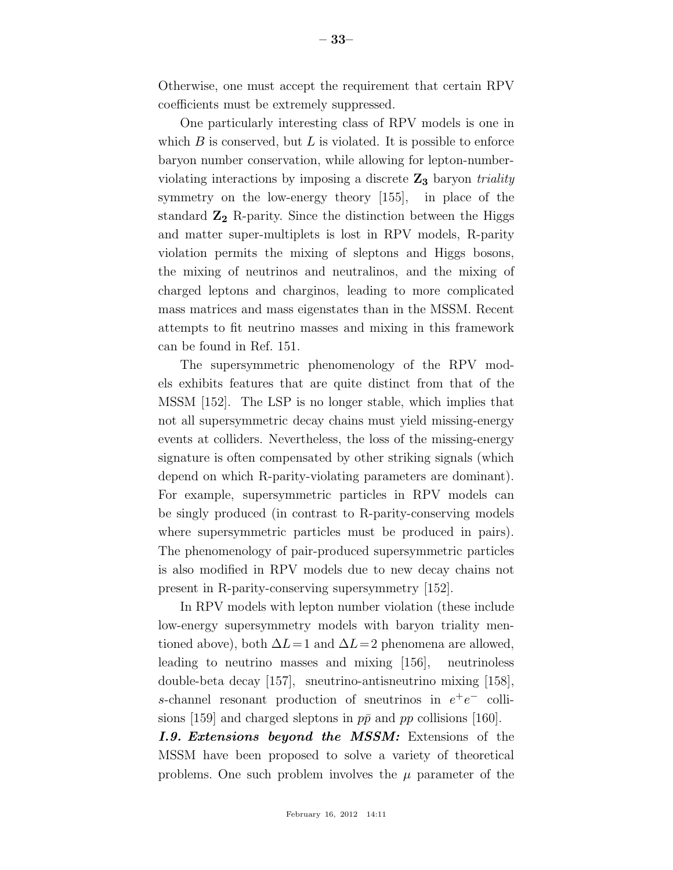Otherwise, one must accept the requirement that certain RPV coefficients must be extremely suppressed.

One particularly interesting class of RPV models is one in which  $B$  is conserved, but  $L$  is violated. It is possible to enforce baryon number conservation, while allowing for lepton-numberviolating interactions by imposing a discrete Z3 baryon *triality* symmetry on the low-energy theory [155], in place of the standard  $\mathbb{Z}_2$  R-parity. Since the distinction between the Higgs and matter super-multiplets is lost in RPV models, R-parity violation permits the mixing of sleptons and Higgs bosons, the mixing of neutrinos and neutralinos, and the mixing of charged leptons and charginos, leading to more complicated mass matrices and mass eigenstates than in the MSSM. Recent attempts to fit neutrino masses and mixing in this framework can be found in Ref. 151.

The supersymmetric phenomenology of the RPV models exhibits features that are quite distinct from that of the MSSM [152]. The LSP is no longer stable, which implies that not all supersymmetric decay chains must yield missing-energy events at colliders. Nevertheless, the loss of the missing-energy signature is often compensated by other striking signals (which depend on which R-parity-violating parameters are dominant). For example, supersymmetric particles in RPV models can be singly produced (in contrast to R-parity-conserving models where supersymmetric particles must be produced in pairs). The phenomenology of pair-produced supersymmetric particles is also modified in RPV models due to new decay chains not present in R-parity-conserving supersymmetry [152].

In RPV models with lepton number violation (these include low-energy supersymmetry models with baryon triality mentioned above), both  $\Delta L=1$  and  $\Delta L=2$  phenomena are allowed, leading to neutrino masses and mixing [156], neutrinoless double-beta decay [157], sneutrino-antisneutrino mixing [158], s-channel resonant production of sneutrinos in  $e^+e^-$  collisions [159] and charged sleptons in  $p\bar{p}$  and pp collisions [160].

*I.9. Extensions beyond the MSSM:* Extensions of the MSSM have been proposed to solve a variety of theoretical problems. One such problem involves the  $\mu$  parameter of the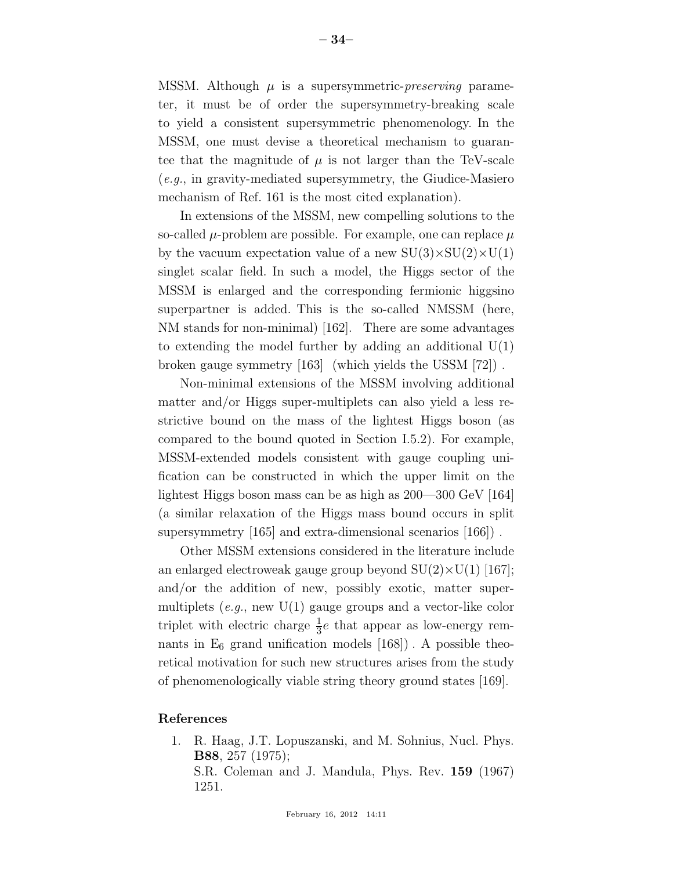MSSM. Although  $\mu$  is a supersymmetric-*preserving* parameter, it must be of order the supersymmetry-breaking scale to yield a consistent supersymmetric phenomenology. In the MSSM, one must devise a theoretical mechanism to guarantee that the magnitude of  $\mu$  is not larger than the TeV-scale (*e.g.*, in gravity-mediated supersymmetry, the Giudice-Masiero mechanism of Ref. 161 is the most cited explanation).

In extensions of the MSSM, new compelling solutions to the so-called  $\mu$ -problem are possible. For example, one can replace  $\mu$ by the vacuum expectation value of a new  $SU(3)\times SU(2)\times U(1)$ singlet scalar field. In such a model, the Higgs sector of the MSSM is enlarged and the corresponding fermionic higgsino superpartner is added. This is the so-called NMSSM (here, NM stands for non-minimal) [162]. There are some advantages to extending the model further by adding an additional  $U(1)$ broken gauge symmetry [163] (which yields the USSM [72]) .

Non-minimal extensions of the MSSM involving additional matter and/or Higgs super-multiplets can also yield a less restrictive bound on the mass of the lightest Higgs boson (as compared to the bound quoted in Section I.5.2). For example, MSSM-extended models consistent with gauge coupling unification can be constructed in which the upper limit on the lightest Higgs boson mass can be as high as 200—300 GeV [164] (a similar relaxation of the Higgs mass bound occurs in split supersymmetry [165] and extra-dimensional scenarios [166]) .

Other MSSM extensions considered in the literature include an enlarged electroweak gauge group beyond  $SU(2)\times U(1)$  [167]; and/or the addition of new, possibly exotic, matter supermultiplets (*e.g.*, new U(1) gauge groups and a vector-like color triplet with electric charge  $\frac{1}{3}e$  that appear as low-energy remnants in  $E_6$  grand unification models  $[168]$ . A possible theoretical motivation for such new structures arises from the study of phenomenologically viable string theory ground states [169].

#### References

1. R. Haag, J.T. Lopuszanski, and M. Sohnius, Nucl. Phys. B88, 257 (1975); S.R. Coleman and J. Mandula, Phys. Rev. 159 (1967) 1251.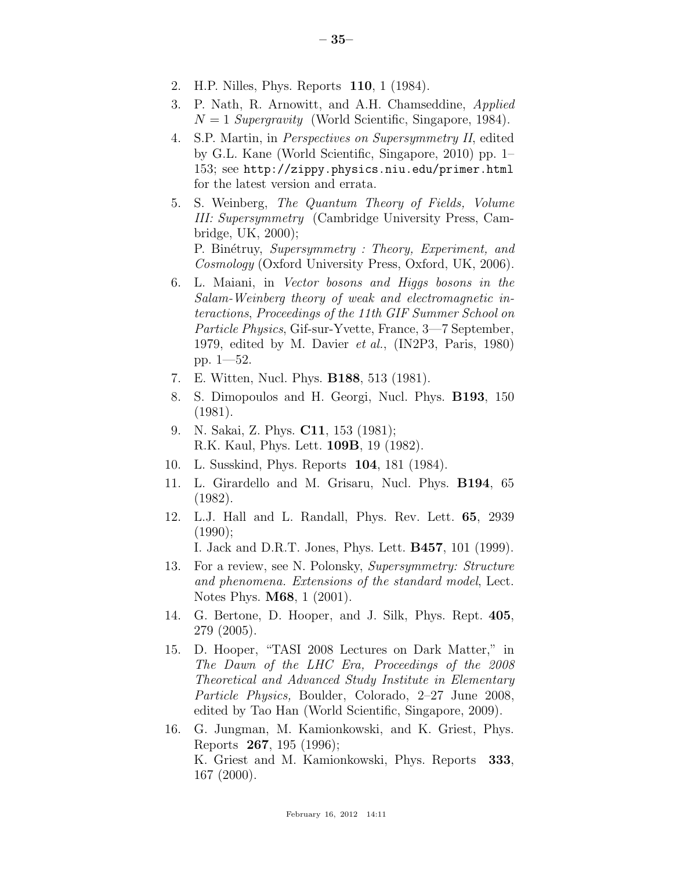- 2. H.P. Nilles, Phys. Reports 110, 1 (1984).
- 3. P. Nath, R. Arnowitt, and A.H. Chamseddine, *Applied*  $N = 1$  *Supergravity* (World Scientific, Singapore, 1984).
- 4. S.P. Martin, in *Perspectives on Supersymmetry II*, edited by G.L. Kane (World Scientific, Singapore, 2010) pp. 1– 153; see http://zippy.physics.niu.edu/primer.html for the latest version and errata.
- 5. S. Weinberg, *The Quantum Theory of Fields, Volume III: Supersymmetry* (Cambridge University Press, Cambridge, UK, 2000); P. Bin´etruy, *Supersymmetry : Theory, Experiment, and*

*Cosmology* (Oxford University Press, Oxford, UK, 2006).

- 6. L. Maiani, in *Vector bosons and Higgs bosons in the Salam-Weinberg theory of weak and electromagnetic interactions*, *Proceedings of the 11th GIF Summer School on Particle Physics*, Gif-sur-Yvette, France, 3—7 September, 1979, edited by M. Davier *et al.*, (IN2P3, Paris, 1980) pp. 1—52.
- 7. E. Witten, Nucl. Phys. B188, 513 (1981).
- 8. S. Dimopoulos and H. Georgi, Nucl. Phys. B193, 150 (1981).
- 9. N. Sakai, Z. Phys. C11, 153 (1981); R.K. Kaul, Phys. Lett. 109B, 19 (1982).
- 10. L. Susskind, Phys. Reports 104, 181 (1984).
- 11. L. Girardello and M. Grisaru, Nucl. Phys. B194, 65 (1982).
- 12. L.J. Hall and L. Randall, Phys. Rev. Lett. 65, 2939 (1990);

I. Jack and D.R.T. Jones, Phys. Lett. B457, 101 (1999).

- 13. For a review, see N. Polonsky, *Supersymmetry: Structure and phenomena. Extensions of the standard model*, Lect. Notes Phys. M68, 1 (2001).
- 14. G. Bertone, D. Hooper, and J. Silk, Phys. Rept. 405, 279 (2005).
- 15. D. Hooper, "TASI 2008 Lectures on Dark Matter," in *The Dawn of the LHC Era, Proceedings of the 2008 Theoretical and Advanced Study Institute in Elementary Particle Physics,* Boulder, Colorado, 2–27 June 2008, edited by Tao Han (World Scientific, Singapore, 2009).
- 16. G. Jungman, M. Kamionkowski, and K. Griest, Phys. Reports 267, 195 (1996); K. Griest and M. Kamionkowski, Phys. Reports 333, 167 (2000).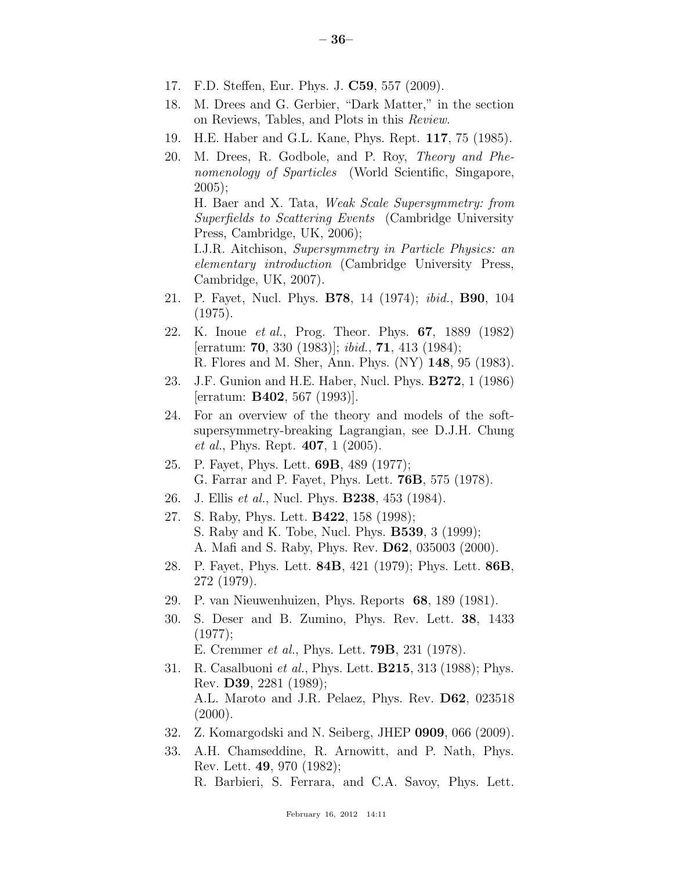- 17. F.D. Steffen, Eur. Phys. J. C59, 557 (2009).
- 18. M. Drees and G. Gerbier, "Dark Matter," in the section on Reviews, Tables, and Plots in this *Review*.
- 19. H.E. Haber and G.L. Kane, Phys. Rept. 117, 75 (1985).
- 20. M. Drees, R. Godbole, and P. Roy, *Theory and Phenomenology of Sparticles* (World Scientific, Singapore, 2005); H. Baer and X. Tata, *Weak Scale Supersymmetry: from Superfields to Scattering Events* (Cambridge University Press, Cambridge, UK, 2006); I.J.R. Aitchison, *Supersymmetry in Particle Physics: an elementary introduction* (Cambridge University Press, Cambridge, UK, 2007).
- 21. P. Fayet, Nucl. Phys. B78, 14 (1974); *ibid.*, B90, 104 (1975).
- 22. K. Inoue *et al.*, Prog. Theor. Phys. 67, 1889 (1982) [erratum: 70, 330 (1983)]; *ibid.*, 71, 413 (1984); R. Flores and M. Sher, Ann. Phys. (NY) 148, 95 (1983).
- 23. J.F. Gunion and H.E. Haber, Nucl. Phys. B272, 1 (1986) [erratum: B402, 567 (1993)].
- 24. For an overview of the theory and models of the softsupersymmetry-breaking Lagrangian, see D.J.H. Chung *et al.*, Phys. Rept. 407, 1 (2005).
- 25. P. Fayet, Phys. Lett. 69B, 489 (1977); G. Farrar and P. Fayet, Phys. Lett. 76B, 575 (1978).
- 26. J. Ellis *et al.*, Nucl. Phys. B238, 453 (1984).
- 27. S. Raby, Phys. Lett. B422, 158 (1998); S. Raby and K. Tobe, Nucl. Phys. B539, 3 (1999); A. Mafi and S. Raby, Phys. Rev. D62, 035003 (2000).
- 28. P. Fayet, Phys. Lett. 84B, 421 (1979); Phys. Lett. 86B, 272 (1979).
- 29. P. van Nieuwenhuizen, Phys. Reports 68, 189 (1981).
- 30. S. Deser and B. Zumino, Phys. Rev. Lett. 38, 1433 (1977);

E. Cremmer *et al.*, Phys. Lett. 79B, 231 (1978).

- 31. R. Casalbuoni *et al.*, Phys. Lett. B215, 313 (1988); Phys. Rev. D39, 2281 (1989); A.L. Maroto and J.R. Pelaez, Phys. Rev. D62, 023518  $(2000).$
- 32. Z. Komargodski and N. Seiberg, JHEP 0909, 066 (2009).
- 33. A.H. Chamseddine, R. Arnowitt, and P. Nath, Phys. Rev. Lett. 49, 970 (1982); R. Barbieri, S. Ferrara, and C.A. Savoy, Phys. Lett.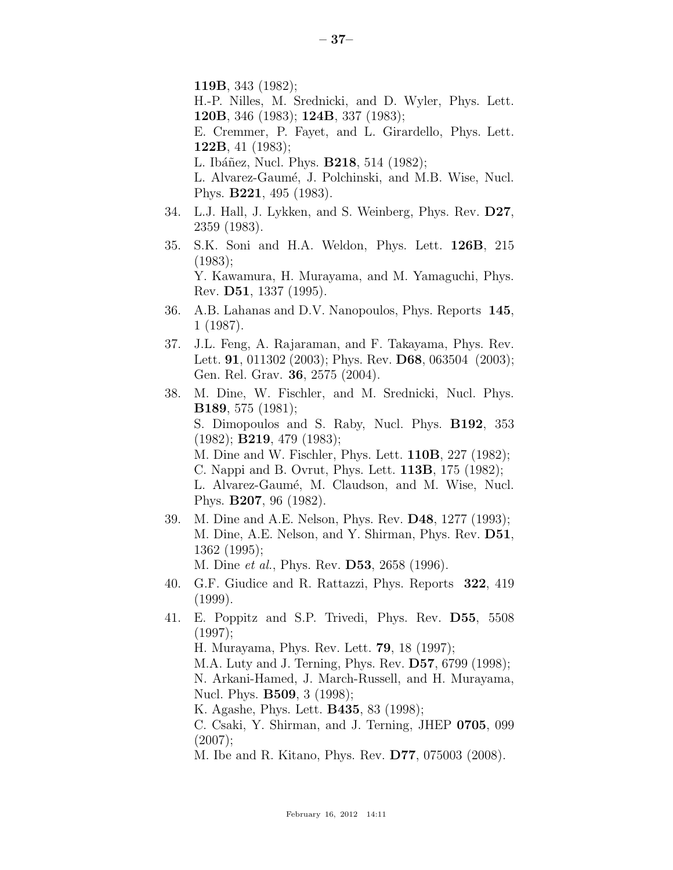119B, 343 (1982);

H.-P. Nilles, M. Srednicki, and D. Wyler, Phys. Lett. 120B, 346 (1983); 124B, 337 (1983);

E. Cremmer, P. Fayet, and L. Girardello, Phys. Lett. 122B, 41 (1983);

L. Ibáñez, Nucl. Phys. **B218**, 514 (1982);

L. Alvarez-Gaumé, J. Polchinski, and M.B. Wise, Nucl. Phys. B221, 495 (1983).

- 34. L.J. Hall, J. Lykken, and S. Weinberg, Phys. Rev. D27, 2359 (1983).
- 35. S.K. Soni and H.A. Weldon, Phys. Lett. 126B, 215 (1983); Y. Kawamura, H. Murayama, and M. Yamaguchi, Phys. Rev. D51, 1337 (1995).
- 36. A.B. Lahanas and D.V. Nanopoulos, Phys. Reports 145, 1 (1987).
- 37. J.L. Feng, A. Rajaraman, and F. Takayama, Phys. Rev. Lett. **91**, 011302 (2003); Phys. Rev. **D68**, 063504 (2003); Gen. Rel. Grav. 36, 2575 (2004).
- 38. M. Dine, W. Fischler, and M. Srednicki, Nucl. Phys. B189, 575 (1981); S. Dimopoulos and S. Raby, Nucl. Phys. B192, 353  $(1982)$ ; **B219**, 479  $(1983)$ ; M. Dine and W. Fischler, Phys. Lett. 110B, 227 (1982); C. Nappi and B. Ovrut, Phys. Lett. 113B, 175 (1982); L. Alvarez-Gaumé, M. Claudson, and M. Wise, Nucl. Phys. B207, 96 (1982).
- 39. M. Dine and A.E. Nelson, Phys. Rev. D48, 1277 (1993); M. Dine, A.E. Nelson, and Y. Shirman, Phys. Rev. D51, 1362 (1995);

M. Dine *et al.*, Phys. Rev. D53, 2658 (1996).

- 40. G.F. Giudice and R. Rattazzi, Phys. Reports 322, 419 (1999).
- 41. E. Poppitz and S.P. Trivedi, Phys. Rev. D55, 5508 (1997); H. Murayama, Phys. Rev. Lett. 79, 18 (1997);
	- M.A. Luty and J. Terning, Phys. Rev. D57, 6799 (1998);

N. Arkani-Hamed, J. March-Russell, and H. Murayama, Nucl. Phys. B509, 3 (1998);

K. Agashe, Phys. Lett. B435, 83 (1998);

C. Csaki, Y. Shirman, and J. Terning, JHEP 0705, 099 (2007);

M. Ibe and R. Kitano, Phys. Rev. D77, 075003 (2008).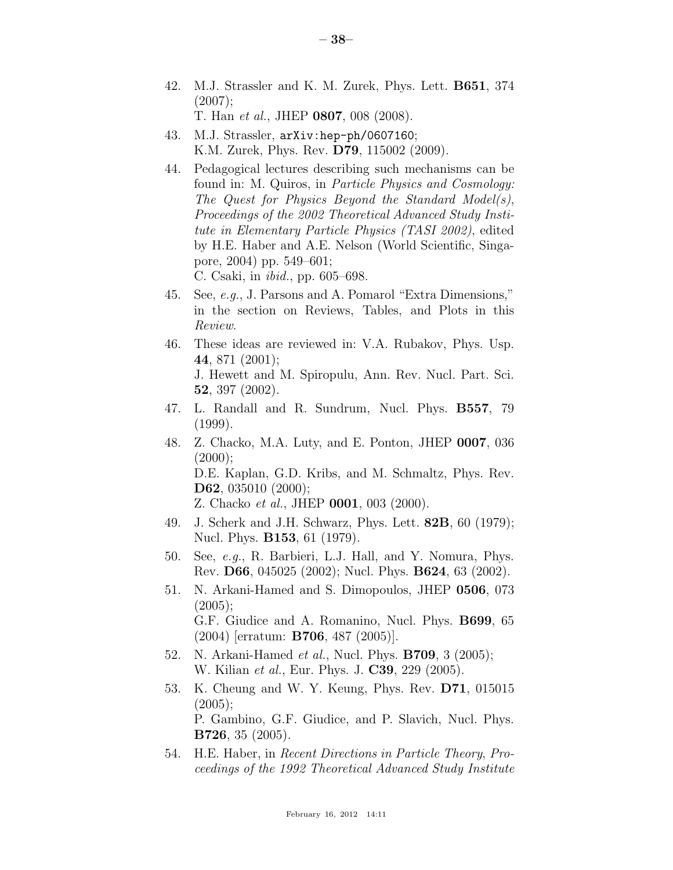- 42. M.J. Strassler and K. M. Zurek, Phys. Lett. B651, 374  $(2007);$ T. Han *et al.*, JHEP 0807, 008 (2008).
- 43. M.J. Strassler, arXiv:hep-ph/0607160; K.M. Zurek, Phys. Rev. D79, 115002 (2009).
- 44. Pedagogical lectures describing such mechanisms can be found in: M. Quiros, in *Particle Physics and Cosmology: The Quest for Physics Beyond the Standard Model(s)*, *Proceedings of the 2002 Theoretical Advanced Study Institute in Elementary Particle Physics (TASI 2002)*, edited by H.E. Haber and A.E. Nelson (World Scientific, Singapore, 2004) pp. 549–601; C. Csaki, in *ibid.*, pp. 605–698.
- 45. See, *e.g.*, J. Parsons and A. Pomarol "Extra Dimensions," in the section on Reviews, Tables, and Plots in this *Review*.
- 46. These ideas are reviewed in: V.A. Rubakov, Phys. Usp. 44, 871 (2001); J. Hewett and M. Spiropulu, Ann. Rev. Nucl. Part. Sci. 52, 397 (2002).
- 47. L. Randall and R. Sundrum, Nucl. Phys. B557, 79 (1999).
- 48. Z. Chacko, M.A. Luty, and E. Ponton, JHEP 0007, 036  $(2000);$ D.E. Kaplan, G.D. Kribs, and M. Schmaltz, Phys. Rev. D62, 035010 (2000); Z. Chacko *et al.*, JHEP 0001, 003 (2000).
- 49. J. Scherk and J.H. Schwarz, Phys. Lett. 82B, 60 (1979); Nucl. Phys. B153, 61 (1979).
- 50. See, *e.g.*, R. Barbieri, L.J. Hall, and Y. Nomura, Phys. Rev. D66, 045025 (2002); Nucl. Phys. B624, 63 (2002).
- 51. N. Arkani-Hamed and S. Dimopoulos, JHEP 0506, 073  $(2005)$ : G.F. Giudice and A. Romanino, Nucl. Phys. B699, 65 (2004) [erratum: B706, 487 (2005)].
- 52. N. Arkani-Hamed *et al.*, Nucl. Phys. B709, 3 (2005); W. Kilian *et al.*, Eur. Phys. J. C39, 229 (2005).
- 53. K. Cheung and W. Y. Keung, Phys. Rev. D71, 015015 (2005); P. Gambino, G.F. Giudice, and P. Slavich, Nucl. Phys. B726, 35 (2005).
- 54. H.E. Haber, in *Recent Directions in Particle Theory*, *Proceedings of the 1992 Theoretical Advanced Study Institute*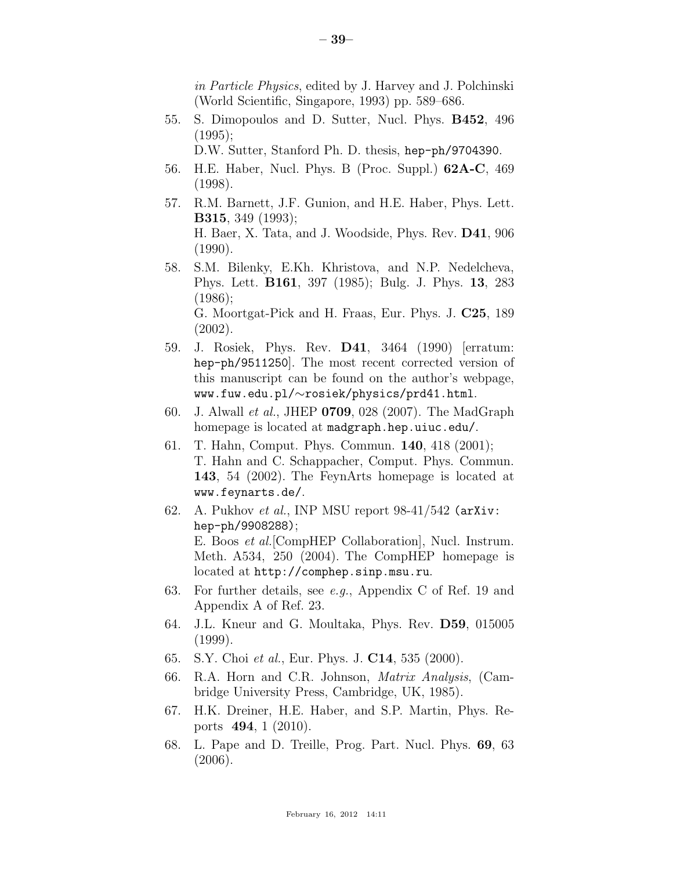*in Particle Physics*, edited by J. Harvey and J. Polchinski (World Scientific, Singapore, 1993) pp. 589–686.

55. S. Dimopoulos and D. Sutter, Nucl. Phys. B452, 496 (1995);

D.W. Sutter, Stanford Ph. D. thesis, hep-ph/9704390.

- 56. H.E. Haber, Nucl. Phys. B (Proc. Suppl.) 62A-C, 469 (1998).
- 57. R.M. Barnett, J.F. Gunion, and H.E. Haber, Phys. Lett. B315, 349 (1993); H. Baer, X. Tata, and J. Woodside, Phys. Rev. D41, 906 (1990).
- 58. S.M. Bilenky, E.Kh. Khristova, and N.P. Nedelcheva, Phys. Lett. B161, 397 (1985); Bulg. J. Phys. 13, 283 (1986); G. Moortgat-Pick and H. Fraas, Eur. Phys. J. C25, 189

(2002).

- 59. J. Rosiek, Phys. Rev. D41, 3464 (1990) [erratum: hep-ph/9511250]. The most recent corrected version of this manuscript can be found on the author's webpage, www.fuw.edu.pl/∼rosiek/physics/prd41.html.
- 60. J. Alwall *et al.*, JHEP 0709, 028 (2007). The MadGraph homepage is located at madgraph.hep.uiuc.edu/.
- 61. T. Hahn, Comput. Phys. Commun. 140, 418 (2001); T. Hahn and C. Schappacher, Comput. Phys. Commun. 143, 54 (2002). The FeynArts homepage is located at www.feynarts.de/.
- 62. A. Pukhov *et al.*, INP MSU report 98-41/542 (arXiv: hep-ph/9908288); E. Boos *et al.*[CompHEP Collaboration], Nucl. Instrum. Meth. A534, 250 (2004). The CompHEP homepage is located at http://comphep.sinp.msu.ru.
- 63. For further details, see *e.g.*, Appendix C of Ref. 19 and Appendix A of Ref. 23.
- 64. J.L. Kneur and G. Moultaka, Phys. Rev. D59, 015005 (1999).
- 65. S.Y. Choi *et al.*, Eur. Phys. J. C14, 535 (2000).
- 66. R.A. Horn and C.R. Johnson, *Matrix Analysis*, (Cambridge University Press, Cambridge, UK, 1985).
- 67. H.K. Dreiner, H.E. Haber, and S.P. Martin, Phys. Reports 494, 1 (2010).
- 68. L. Pape and D. Treille, Prog. Part. Nucl. Phys. 69, 63 (2006).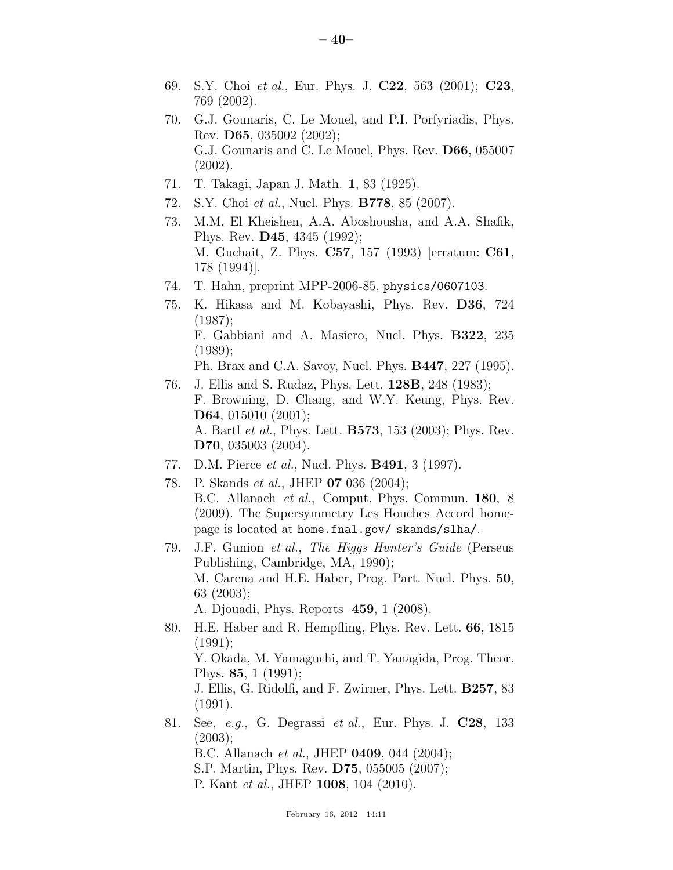- 69. S.Y. Choi *et al.*, Eur. Phys. J. C22, 563 (2001); C23, 769 (2002).
- 70. G.J. Gounaris, C. Le Mouel, and P.I. Porfyriadis, Phys. Rev. D65, 035002 (2002); G.J. Gounaris and C. Le Mouel, Phys. Rev. D66, 055007 (2002).
- 71. T. Takagi, Japan J. Math. 1, 83 (1925).
- 72. S.Y. Choi *et al.*, Nucl. Phys. B778, 85 (2007).
- 73. M.M. El Kheishen, A.A. Aboshousha, and A.A. Shafik, Phys. Rev. D45, 4345 (1992); M. Guchait, Z. Phys. C57, 157 (1993) [erratum: C61, 178 (1994)].
- 74. T. Hahn, preprint MPP-2006-85, physics/0607103.
- 75. K. Hikasa and M. Kobayashi, Phys. Rev. D36, 724 (1987); F. Gabbiani and A. Masiero, Nucl. Phys. B322, 235 (1989); Ph. Brax and C.A. Savoy, Nucl. Phys. B447, 227 (1995).
- 76. J. Ellis and S. Rudaz, Phys. Lett. 128B, 248 (1983); F. Browning, D. Chang, and W.Y. Keung, Phys. Rev. D64, 015010 (2001); A. Bartl *et al.*, Phys. Lett. B573, 153 (2003); Phys. Rev. D70, 035003 (2004).
- 77. D.M. Pierce *et al.*, Nucl. Phys. B491, 3 (1997).
- 78. P. Skands *et al.*, JHEP 07 036 (2004); B.C. Allanach *et al.*, Comput. Phys. Commun. 180, 8 (2009). The Supersymmetry Les Houches Accord homepage is located at home.fnal.gov/ skands/slha/.
- 79. J.F. Gunion *et al.*, *The Higgs Hunter's Guide* (Perseus Publishing, Cambridge, MA, 1990); M. Carena and H.E. Haber, Prog. Part. Nucl. Phys. 50, 63 (2003);

A. Djouadi, Phys. Reports 459, 1 (2008).

- 80. H.E. Haber and R. Hempfling, Phys. Rev. Lett. 66, 1815  $(1991):$ Y. Okada, M. Yamaguchi, and T. Yanagida, Prog. Theor. Phys. 85, 1 (1991); J. Ellis, G. Ridolfi, and F. Zwirner, Phys. Lett. B257, 83 (1991).
- 81. See, *e.g.*, G. Degrassi *et al.*, Eur. Phys. J. C28, 133  $(2003);$ B.C. Allanach *et al.*, JHEP 0409, 044 (2004); S.P. Martin, Phys. Rev. D75, 055005 (2007); P. Kant *et al.*, JHEP 1008, 104 (2010).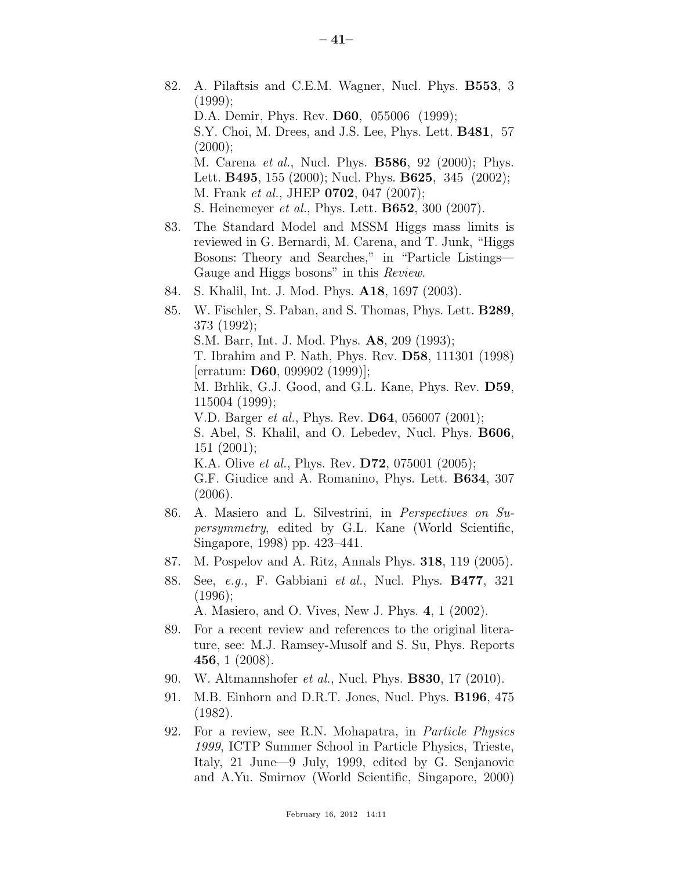- 82. A. Pilaftsis and C.E.M. Wagner, Nucl. Phys. B553, 3  $(1999)$ ; D.A. Demir, Phys. Rev. D60, 055006 (1999); S.Y. Choi, M. Drees, and J.S. Lee, Phys. Lett. B481, 57  $(2000);$ M. Carena *et al.*, Nucl. Phys. B586, 92 (2000); Phys. Lett. B495, 155 (2000); Nucl. Phys. B625, 345 (2002); M. Frank *et al.*, JHEP 0702, 047 (2007); S. Heinemeyer *et al.*, Phys. Lett. B652, 300 (2007). 83. The Standard Model and MSSM Higgs mass limits is reviewed in G. Bernardi, M. Carena, and T. Junk, "Higgs Bosons: Theory and Searches," in "Particle Listings— Gauge and Higgs bosons" in this *Review*. 84. S. Khalil, Int. J. Mod. Phys. A18, 1697 (2003). 85. W. Fischler, S. Paban, and S. Thomas, Phys. Lett. B289, 373 (1992); S.M. Barr, Int. J. Mod. Phys. A8, 209 (1993); T. Ibrahim and P. Nath, Phys. Rev. D58, 111301 (1998) [erratum: D60, 099902 (1999)]; M. Brhlik, G.J. Good, and G.L. Kane, Phys. Rev. D59, 115004 (1999); V.D. Barger *et al.*, Phys. Rev. D64, 056007 (2001); S. Abel, S. Khalil, and O. Lebedev, Nucl. Phys. B606, 151 (2001); K.A. Olive *et al.*, Phys. Rev. D72, 075001 (2005);
	- G.F. Giudice and A. Romanino, Phys. Lett. B634, 307 (2006).
- 86. A. Masiero and L. Silvestrini, in *Perspectives on Supersymmetry*, edited by G.L. Kane (World Scientific, Singapore, 1998) pp. 423–441.
- 87. M. Pospelov and A. Ritz, Annals Phys. 318, 119 (2005).
- 88. See, *e.g.*, F. Gabbiani *et al.*, Nucl. Phys. B477, 321 (1996);

A. Masiero, and O. Vives, New J. Phys. 4, 1 (2002).

- 89. For a recent review and references to the original literature, see: M.J. Ramsey-Musolf and S. Su, Phys. Reports 456, 1 (2008).
- 90. W. Altmannshofer *et al.*, Nucl. Phys. B830, 17 (2010).
- 91. M.B. Einhorn and D.R.T. Jones, Nucl. Phys. B196, 475 (1982).
- 92. For a review, see R.N. Mohapatra, in *Particle Physics 1999*, ICTP Summer School in Particle Physics, Trieste, Italy, 21 June—9 July, 1999, edited by G. Senjanovic and A.Yu. Smirnov (World Scientific, Singapore, 2000)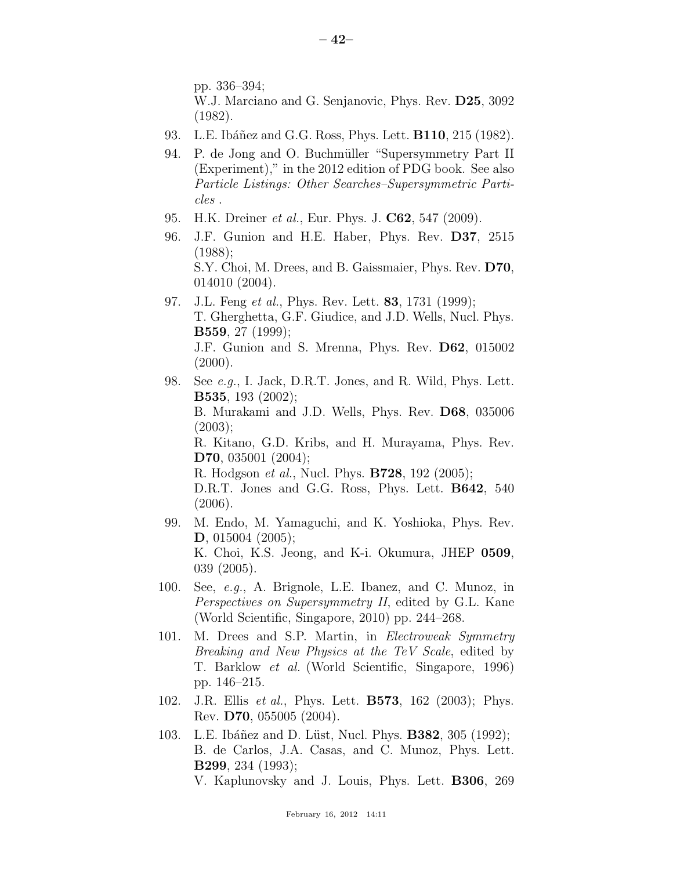pp. 336–394;

- W.J. Marciano and G. Senjanovic, Phys. Rev. D25, 3092 (1982).
- 93. L.E. Ibáñez and G.G. Ross, Phys. Lett. **B110**, 215 (1982).
- 94. P. de Jong and O. Buchmüller "Supersymmetry Part II (Experiment)," in the 2012 edition of PDG book. See also *Particle Listings: Other Searches–Supersymmetric Particles* .
- 95. H.K. Dreiner *et al.*, Eur. Phys. J. C62, 547 (2009).
- 96. J.F. Gunion and H.E. Haber, Phys. Rev. D37, 2515 (1988); S.Y. Choi, M. Drees, and B. Gaissmaier, Phys. Rev. D70, 014010 (2004).
- 97. J.L. Feng *et al.*, Phys. Rev. Lett. 83, 1731 (1999); T. Gherghetta, G.F. Giudice, and J.D. Wells, Nucl. Phys. B559, 27 (1999); J.F. Gunion and S. Mrenna, Phys. Rev. D62, 015002  $(2000).$
- 98. See *e.g.*, I. Jack, D.R.T. Jones, and R. Wild, Phys. Lett. B535, 193 (2002); B. Murakami and J.D. Wells, Phys. Rev. D68, 035006  $(2003);$ R. Kitano, G.D. Kribs, and H. Murayama, Phys. Rev. D70, 035001 (2004); R. Hodgson *et al.*, Nucl. Phys. B728, 192 (2005); D.R.T. Jones and G.G. Ross, Phys. Lett. B642, 540 (2006).
- 99. M. Endo, M. Yamaguchi, and K. Yoshioka, Phys. Rev. D, 015004 (2005); K. Choi, K.S. Jeong, and K-i. Okumura, JHEP 0509, 039 (2005).
- 100. See, *e.g.*, A. Brignole, L.E. Ibanez, and C. Munoz, in *Perspectives on Supersymmetry II*, edited by G.L. Kane (World Scientific, Singapore, 2010) pp. 244–268.
- 101. M. Drees and S.P. Martin, in *Electroweak Symmetry Breaking and New Physics at the TeV Scale*, edited by T. Barklow *et al.* (World Scientific, Singapore, 1996) pp. 146–215.
- 102. J.R. Ellis *et al.*, Phys. Lett. B573, 162 (2003); Phys. Rev. D70, 055005 (2004).
- 103. L.E. Ibáñez and D. Lüst, Nucl. Phys. **B382**, 305 (1992); B. de Carlos, J.A. Casas, and C. Munoz, Phys. Lett. B299, 234 (1993);
	- V. Kaplunovsky and J. Louis, Phys. Lett. B306, 269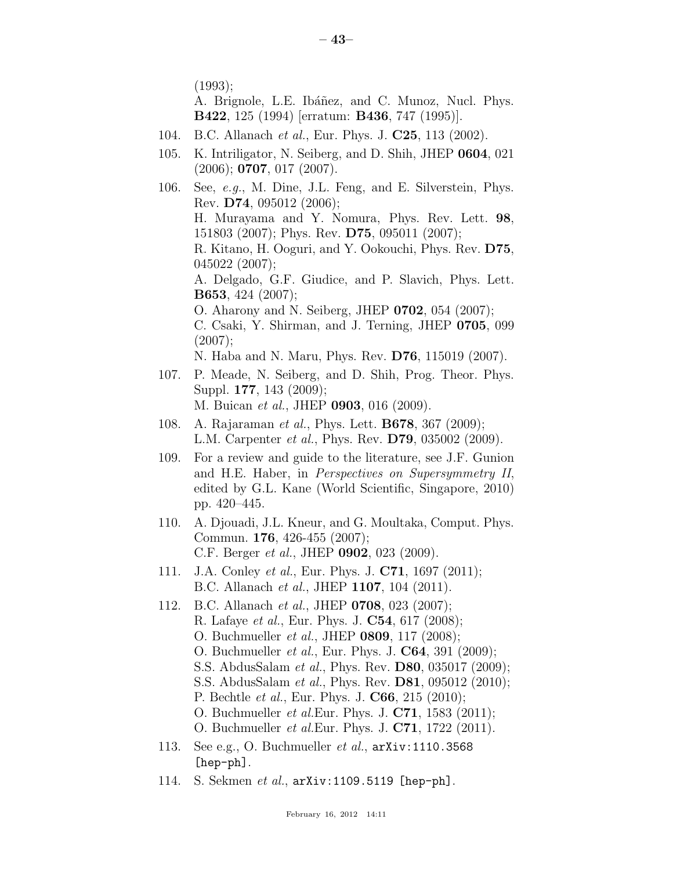(1993);

A. Brignole, L.E. Ibáñez, and C. Munoz, Nucl. Phys. B422, 125 (1994) [erratum: B436, 747 (1995)].

- 104. B.C. Allanach *et al.*, Eur. Phys. J. C25, 113 (2002).
- 105. K. Intriligator, N. Seiberg, and D. Shih, JHEP 0604, 021  $(2006)$ ; **0707**, 017  $(2007)$ .
- 106. See, *e.g.*, M. Dine, J.L. Feng, and E. Silverstein, Phys. Rev. D74, 095012 (2006); H. Murayama and Y. Nomura, Phys. Rev. Lett. 98, 151803 (2007); Phys. Rev. D75, 095011 (2007); R. Kitano, H. Ooguri, and Y. Ookouchi, Phys. Rev. D75, 045022 (2007); A. Delgado, G.F. Giudice, and P. Slavich, Phys. Lett. B653, 424 (2007); O. Aharony and N. Seiberg, JHEP 0702, 054 (2007); C. Csaki, Y. Shirman, and J. Terning, JHEP 0705, 099 (2007); N. Haba and N. Maru, Phys. Rev. D76, 115019 (2007). 107. P. Meade, N. Seiberg, and D. Shih, Prog. Theor. Phys.
- Suppl. 177, 143 (2009); M. Buican *et al.*, JHEP 0903, 016 (2009).
- 108. A. Rajaraman *et al.*, Phys. Lett. B678, 367 (2009); L.M. Carpenter *et al.*, Phys. Rev. D79, 035002 (2009).
- 109. For a review and guide to the literature, see J.F. Gunion and H.E. Haber, in *Perspectives on Supersymmetry II*, edited by G.L. Kane (World Scientific, Singapore, 2010) pp. 420–445.
- 110. A. Djouadi, J.L. Kneur, and G. Moultaka, Comput. Phys. Commun. 176, 426-455 (2007); C.F. Berger *et al.*, JHEP 0902, 023 (2009).
- 111. J.A. Conley *et al.*, Eur. Phys. J. C71, 1697 (2011); B.C. Allanach *et al.*, JHEP 1107, 104 (2011).
- 112. B.C. Allanach *et al.*, JHEP 0708, 023 (2007); R. Lafaye *et al.*, Eur. Phys. J. C54, 617 (2008); O. Buchmueller *et al.*, JHEP 0809, 117 (2008); O. Buchmueller *et al.*, Eur. Phys. J. C64, 391 (2009); S.S. AbdusSalam *et al.*, Phys. Rev. D80, 035017 (2009); S.S. AbdusSalam *et al.*, Phys. Rev. D81, 095012 (2010); P. Bechtle *et al.*, Eur. Phys. J. C66, 215 (2010); O. Buchmueller *et al.*Eur. Phys. J. C71, 1583 (2011); O. Buchmueller *et al.*Eur. Phys. J. C71, 1722 (2011).
- 113. See e.g., O. Buchmueller *et al.*, arXiv:1110.3568 [hep-ph].
- 114. S. Sekmen *et al.*, arXiv:1109.5119 [hep-ph].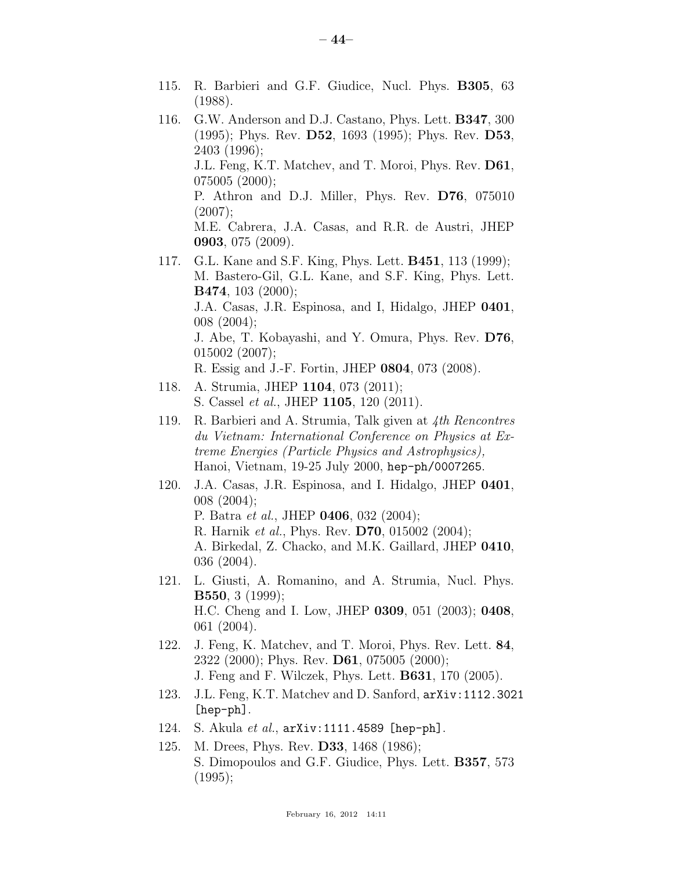- 115. R. Barbieri and G.F. Giudice, Nucl. Phys. B305, 63 (1988).
- 116. G.W. Anderson and D.J. Castano, Phys. Lett. B347, 300 (1995); Phys. Rev. D52, 1693 (1995); Phys. Rev. D53, 2403 (1996); J.L. Feng, K.T. Matchev, and T. Moroi, Phys. Rev. D61, 075005 (2000); P. Athron and D.J. Miller, Phys. Rev. D76, 075010  $(2007);$

M.E. Cabrera, J.A. Casas, and R.R. de Austri, JHEP 0903, 075 (2009).

117. G.L. Kane and S.F. King, Phys. Lett. B451, 113 (1999); M. Bastero-Gil, G.L. Kane, and S.F. King, Phys. Lett. B474, 103 (2000); J.A. Casas, J.R. Espinosa, and I, Hidalgo, JHEP 0401, 008 (2004);

J. Abe, T. Kobayashi, and Y. Omura, Phys. Rev. D76, 015002 (2007);

R. Essig and J.-F. Fortin, JHEP 0804, 073 (2008).

- 118. A. Strumia, JHEP 1104, 073 (2011); S. Cassel *et al.*, JHEP 1105, 120 (2011).
- 119. R. Barbieri and A. Strumia, Talk given at *4th Rencontres du Vietnam: International Conference on Physics at Extreme Energies (Particle Physics and Astrophysics),* Hanoi, Vietnam, 19-25 July 2000, hep-ph/0007265.
- 120. J.A. Casas, J.R. Espinosa, and I. Hidalgo, JHEP 0401, 008 (2004); P. Batra *et al.*, JHEP 0406, 032 (2004); R. Harnik *et al.*, Phys. Rev. D70, 015002 (2004); A. Birkedal, Z. Chacko, and M.K. Gaillard, JHEP 0410, 036 (2004).
- 121. L. Giusti, A. Romanino, and A. Strumia, Nucl. Phys. B550, 3 (1999); H.C. Cheng and I. Low, JHEP 0309, 051 (2003); 0408, 061 (2004).
- 122. J. Feng, K. Matchev, and T. Moroi, Phys. Rev. Lett. 84, 2322 (2000); Phys. Rev. D61, 075005 (2000); J. Feng and F. Wilczek, Phys. Lett. B631, 170 (2005).
- 123. J.L. Feng, K.T. Matchev and D. Sanford, arXiv:1112.3021 [hep-ph].
- 124. S. Akula *et al.*, arXiv:1111.4589 [hep-ph].
- 125. M. Drees, Phys. Rev. D33, 1468 (1986); S. Dimopoulos and G.F. Giudice, Phys. Lett. B357, 573  $(1995);$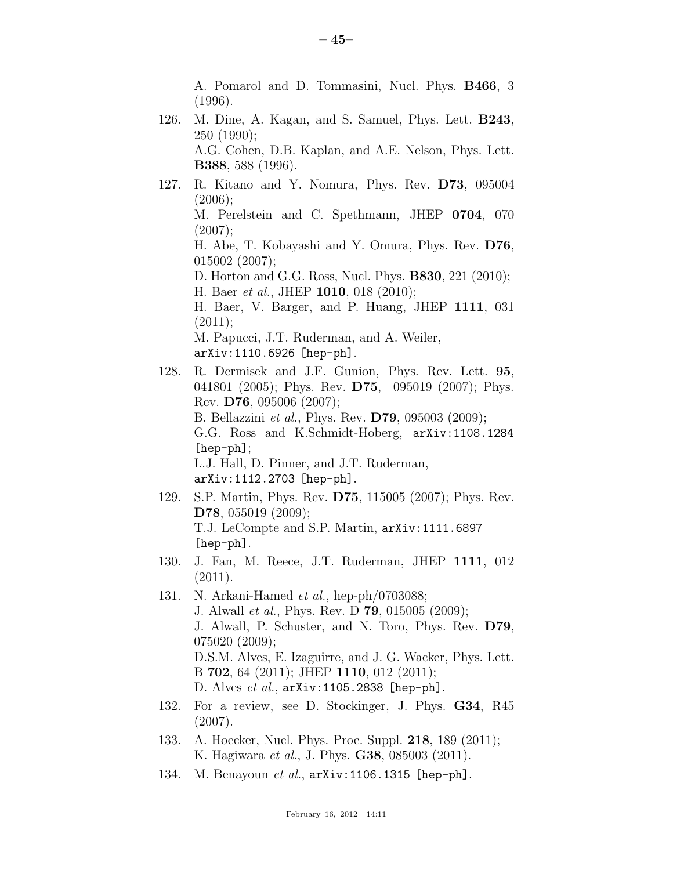A. Pomarol and D. Tommasini, Nucl. Phys. B466, 3 (1996).

- 126. M. Dine, A. Kagan, and S. Samuel, Phys. Lett. B243, 250 (1990); A.G. Cohen, D.B. Kaplan, and A.E. Nelson, Phys. Lett. B388, 588 (1996).
- 127. R. Kitano and Y. Nomura, Phys. Rev. D73, 095004  $(2006);$ M. Perelstein and C. Spethmann, JHEP 0704, 070  $(2007);$ H. Abe, T. Kobayashi and Y. Omura, Phys. Rev. D76, 015002 (2007); D. Horton and G.G. Ross, Nucl. Phys. B830, 221 (2010); H. Baer *et al.*, JHEP 1010, 018 (2010); H. Baer, V. Barger, and P. Huang, JHEP 1111, 031  $(2011);$ M. Papucci, J.T. Ruderman, and A. Weiler, arXiv:1110.6926 [hep-ph]. 128. R. Dermisek and J.F. Gunion, Phys. Rev. Lett. 95,
- 041801 (2005); Phys. Rev. **D75**, 095019 (2007); Phys. Rev. D76, 095006 (2007); B. Bellazzini *et al.*, Phys. Rev. D79, 095003 (2009); G.G. Ross and K.Schmidt-Hoberg, arXiv:1108.1284 [hep-ph]; L.J. Hall, D. Pinner, and J.T. Ruderman, arXiv:1112.2703 [hep-ph].
- 129. S.P. Martin, Phys. Rev. D75, 115005 (2007); Phys. Rev. D78, 055019 (2009); T.J. LeCompte and S.P. Martin, arXiv:1111.6897 [hep-ph].
- 130. J. Fan, M. Reece, J.T. Ruderman, JHEP 1111, 012 (2011).
- 131. N. Arkani-Hamed *et al.*, hep-ph/0703088; J. Alwall *et al.*, Phys. Rev. D 79, 015005 (2009); J. Alwall, P. Schuster, and N. Toro, Phys. Rev. D79, 075020 (2009); D.S.M. Alves, E. Izaguirre, and J. G. Wacker, Phys. Lett. B 702, 64 (2011); JHEP 1110, 012 (2011); D. Alves *et al.*, arXiv:1105.2838 [hep-ph].
- 132. For a review, see D. Stockinger, J. Phys. G34, R45 (2007).
- 133. A. Hoecker, Nucl. Phys. Proc. Suppl. 218, 189 (2011); K. Hagiwara *et al.*, J. Phys. G38, 085003 (2011).
- 134. M. Benayoun *et al.*, arXiv:1106.1315 [hep-ph].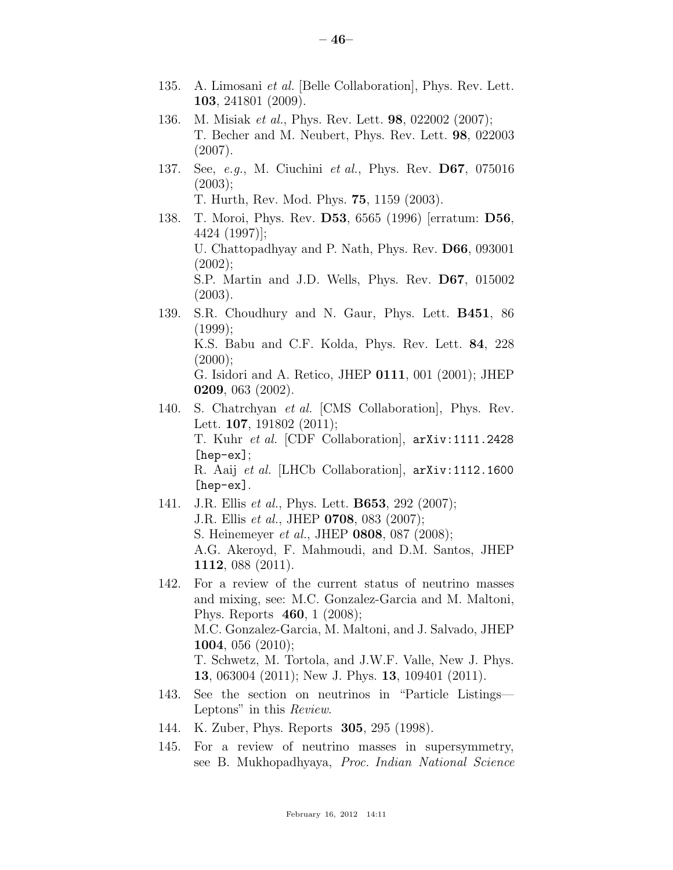- 135. A. Limosani *et al.* [Belle Collaboration], Phys. Rev. Lett. 103, 241801 (2009).
- 136. M. Misiak *et al.*, Phys. Rev. Lett. 98, 022002 (2007); T. Becher and M. Neubert, Phys. Rev. Lett. 98, 022003 (2007).
- 137. See, *e.g.*, M. Ciuchini *et al.*, Phys. Rev. D67, 075016  $(2003);$ T. Hurth, Rev. Mod. Phys. 75, 1159 (2003).
- 138. T. Moroi, Phys. Rev. D53, 6565 (1996) [erratum: D56, 4424 (1997)]; U. Chattopadhyay and P. Nath, Phys. Rev. D66, 093001  $(2002);$ S.P. Martin and J.D. Wells, Phys. Rev. D67, 015002 (2003).
- 139. S.R. Choudhury and N. Gaur, Phys. Lett. B451, 86  $(1999);$ K.S. Babu and C.F. Kolda, Phys. Rev. Lett. 84, 228  $(2000);$ G. Isidori and A. Retico, JHEP 0111, 001 (2001); JHEP 0209, 063 (2002).
- 140. S. Chatrchyan *et al.* [CMS Collaboration], Phys. Rev. Lett. **107**, 191802 (2011); T. Kuhr *et al.* [CDF Collaboration], arXiv:1111.2428 [hep-ex]; R. Aaij *et al.* [LHCb Collaboration], arXiv:1112.1600 [hep-ex].
- 141. J.R. Ellis *et al.*, Phys. Lett. B653, 292 (2007); J.R. Ellis *et al.*, JHEP 0708, 083 (2007); S. Heinemeyer *et al.*, JHEP 0808, 087 (2008); A.G. Akeroyd, F. Mahmoudi, and D.M. Santos, JHEP 1112, 088 (2011).
- 142. For a review of the current status of neutrino masses and mixing, see: M.C. Gonzalez-Garcia and M. Maltoni, Phys. Reports 460, 1 (2008); M.C. Gonzalez-Garcia, M. Maltoni, and J. Salvado, JHEP **1004**, 056 (2010); T. Schwetz, M. Tortola, and J.W.F. Valle, New J. Phys. 13, 063004 (2011); New J. Phys. 13, 109401 (2011).
- 143. See the section on neutrinos in "Particle Listings— Leptons" in this *Review*.
- 144. K. Zuber, Phys. Reports 305, 295 (1998).
- 145. For a review of neutrino masses in supersymmetry, see B. Mukhopadhyaya, *Proc. Indian National Science*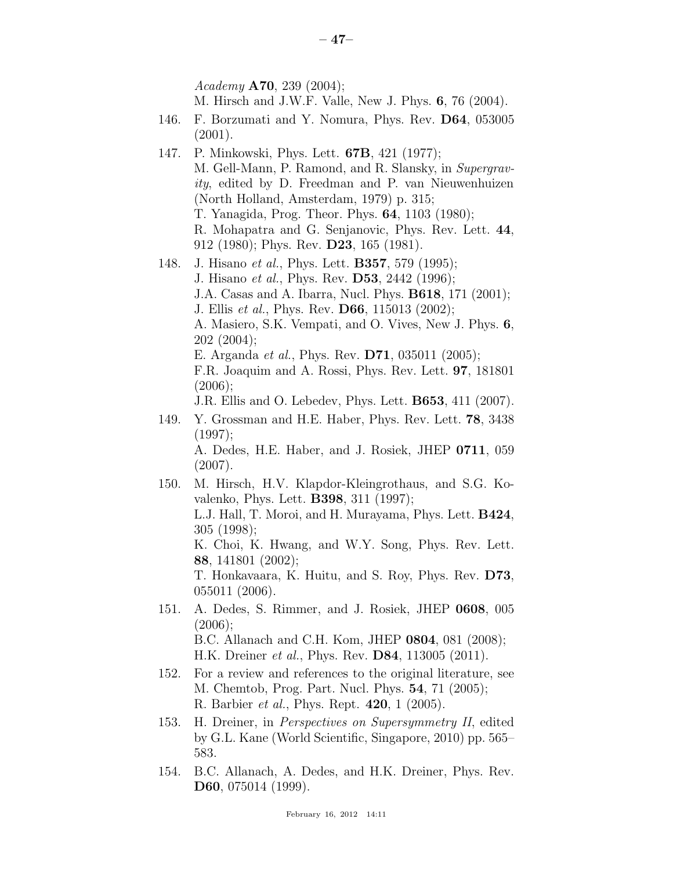*Academy* A70, 239 (2004);

- M. Hirsch and J.W.F. Valle, New J. Phys. 6, 76 (2004).
- 146. F. Borzumati and Y. Nomura, Phys. Rev. D64, 053005 (2001).
- 147. P. Minkowski, Phys. Lett. 67B, 421 (1977); M. Gell-Mann, P. Ramond, and R. Slansky, in *Supergravity*, edited by D. Freedman and P. van Nieuwenhuizen (North Holland, Amsterdam, 1979) p. 315; T. Yanagida, Prog. Theor. Phys. 64, 1103 (1980); R. Mohapatra and G. Senjanovic, Phys. Rev. Lett. 44, 912 (1980); Phys. Rev. D23, 165 (1981).
- 148. J. Hisano *et al.*, Phys. Lett. B357, 579 (1995); J. Hisano *et al.*, Phys. Rev. D53, 2442 (1996); J.A. Casas and A. Ibarra, Nucl. Phys. B618, 171 (2001); J. Ellis *et al.*, Phys. Rev. D66, 115013 (2002); A. Masiero, S.K. Vempati, and O. Vives, New J. Phys. 6, 202 (2004); E. Arganda *et al.*, Phys. Rev. D71, 035011 (2005); F.R. Joaquim and A. Rossi, Phys. Rev. Lett. 97, 181801  $(2006);$ J.R. Ellis and O. Lebedev, Phys. Lett. B653, 411 (2007). 149. Y. Grossman and H.E. Haber, Phys. Rev. Lett. 78, 3438 (1997); A. Dedes, H.E. Haber, and J. Rosiek, JHEP 0711, 059 (2007). 150. M. Hirsch, H.V. Klapdor-Kleingrothaus, and S.G. Kovalenko, Phys. Lett. B398, 311 (1997); L.J. Hall, T. Moroi, and H. Murayama, Phys. Lett. B424, 305 (1998); K. Choi, K. Hwang, and W.Y. Song, Phys. Rev. Lett. 88, 141801 (2002); T. Honkavaara, K. Huitu, and S. Roy, Phys. Rev. D73, 055011 (2006). 151. A. Dedes, S. Rimmer, and J. Rosiek, JHEP 0608, 005  $(2006)$ ;
	- B.C. Allanach and C.H. Kom, JHEP 0804, 081 (2008); H.K. Dreiner *et al.*, Phys. Rev. D84, 113005 (2011).
- 152. For a review and references to the original literature, see M. Chemtob, Prog. Part. Nucl. Phys. 54, 71 (2005); R. Barbier *et al.*, Phys. Rept. 420, 1 (2005).
- 153. H. Dreiner, in *Perspectives on Supersymmetry II*, edited by G.L. Kane (World Scientific, Singapore, 2010) pp. 565– 583.
- 154. B.C. Allanach, A. Dedes, and H.K. Dreiner, Phys. Rev. D60, 075014 (1999).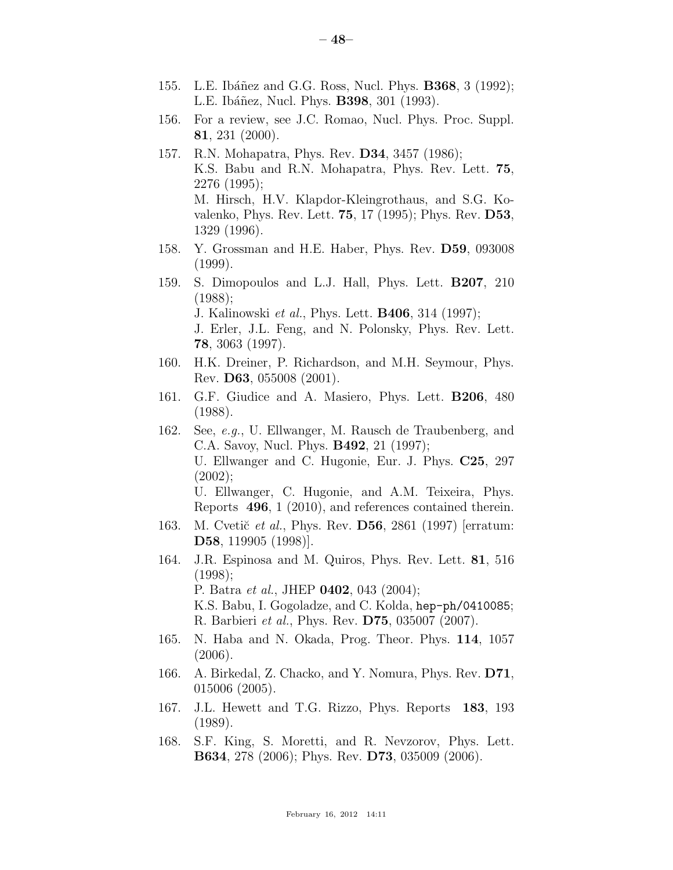- 155. L.E. Ibáñez and G.G. Ross, Nucl. Phys. **B368**, 3 (1992); L.E. Ibáñez, Nucl. Phys. **B398**, 301 (1993).
- 156. For a review, see J.C. Romao, Nucl. Phys. Proc. Suppl. 81, 231 (2000).
- 157. R.N. Mohapatra, Phys. Rev. D34, 3457 (1986); K.S. Babu and R.N. Mohapatra, Phys. Rev. Lett. 75, 2276 (1995); M. Hirsch, H.V. Klapdor-Kleingrothaus, and S.G. Kovalenko, Phys. Rev. Lett. 75, 17 (1995); Phys. Rev. D53, 1329 (1996).
- 158. Y. Grossman and H.E. Haber, Phys. Rev. D59, 093008 (1999).
- 159. S. Dimopoulos and L.J. Hall, Phys. Lett. B207, 210 (1988); J. Kalinowski *et al.*, Phys. Lett. B406, 314 (1997); J. Erler, J.L. Feng, and N. Polonsky, Phys. Rev. Lett. 78, 3063 (1997).
- 160. H.K. Dreiner, P. Richardson, and M.H. Seymour, Phys. Rev. D63, 055008 (2001).
- 161. G.F. Giudice and A. Masiero, Phys. Lett. B206, 480 (1988).
- 162. See, *e.g.*, U. Ellwanger, M. Rausch de Traubenberg, and C.A. Savoy, Nucl. Phys. B492, 21 (1997); U. Ellwanger and C. Hugonie, Eur. J. Phys. C25, 297 (2002); U. Ellwanger, C. Hugonie, and A.M. Teixeira, Phys. Reports 496, 1 (2010), and references contained therein.
- 163. M. Cvetič *et al.*, Phys. Rev. **D56**, 2861 (1997) [erratum: D58, 119905 (1998)].
- 164. J.R. Espinosa and M. Quiros, Phys. Rev. Lett. 81, 516 (1998); P. Batra *et al.*, JHEP 0402, 043 (2004); K.S. Babu, I. Gogoladze, and C. Kolda, hep-ph/0410085; R. Barbieri *et al.*, Phys. Rev. D75, 035007 (2007).
- 165. N. Haba and N. Okada, Prog. Theor. Phys. 114, 1057 (2006).
- 166. A. Birkedal, Z. Chacko, and Y. Nomura, Phys. Rev. D71, 015006 (2005).
- 167. J.L. Hewett and T.G. Rizzo, Phys. Reports 183, 193 (1989).
- 168. S.F. King, S. Moretti, and R. Nevzorov, Phys. Lett. B634, 278 (2006); Phys. Rev. D73, 035009 (2006).